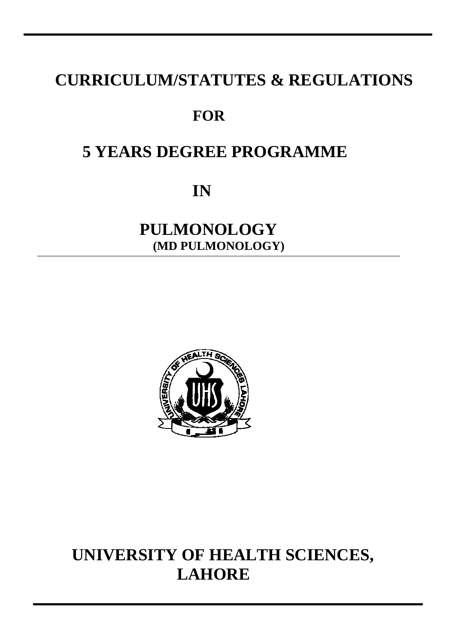# **CURRICULUM/STATUTES & REGULATIONS**

# **FOR**

# **5 YEARS DEGREE PROGRAMME**

**IN** 

# **PULMONOLOGY (MD PULMONOLOGY)**



# **UNIVERSITY OF HEALTH SCIENCES, LAHORE**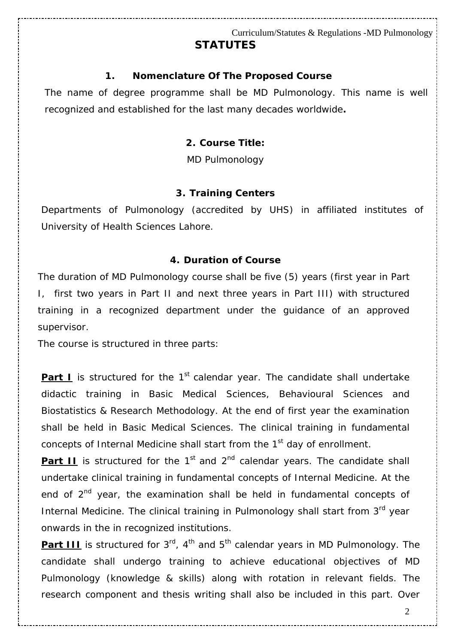#### *1. Nomenclature Of The Proposed Course*

The name of degree programme shall be MD Pulmonology. This name is well recognized and established for the last many decades worldwide*.* 

#### *2. Course Title:*

MD Pulmonology

#### *3. Training Centers*

Departments of Pulmonology (accredited by UHS) in affiliated institutes of University of Health Sciences Lahore.

#### *4. Duration of Course*

The duration of MD Pulmonology course shall be five (5) years (first year in Part I, first two years in Part II and next three years in Part III) with structured training in a recognized department under the guidance of an approved supervisor.

The course is structured in three parts:

**Part I** is structured for the 1<sup>st</sup> calendar year. The candidate shall undertake didactic training in Basic Medical Sciences, Behavioural Sciences and Biostatistics & Research Methodology. At the end of first year the examination shall be held in Basic Medical Sciences. The clinical training in fundamental concepts of Internal Medicine shall start from the 1<sup>st</sup> day of enrollment.

**Part II** is structured for the  $1<sup>st</sup>$  and  $2<sup>nd</sup>$  calendar years. The candidate shall undertake clinical training in fundamental concepts of Internal Medicine. At the end of 2<sup>nd</sup> year, the examination shall be held in fundamental concepts of Internal Medicine. The clinical training in Pulmonology shall start from  $3<sup>rd</sup>$  year onwards in the in recognized institutions.

**Part III** is structured for  $3^{rd}$ ,  $4^{th}$  and  $5^{th}$  calendar years in MD Pulmonology. The candidate shall undergo training to achieve educational objectives of MD Pulmonology (knowledge & skills) along with rotation in relevant fields. The research component and thesis writing shall also be included in this part. Over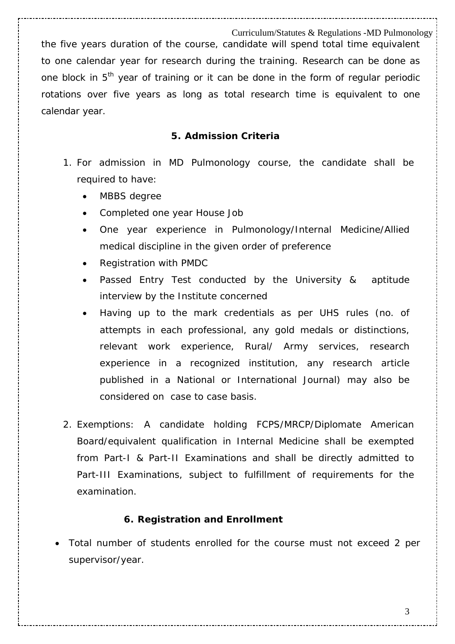Curriculum/Statutes & Regulations -MD Pulmonology the five years duration of the course, candidate will spend total time equivalent to one calendar year for research during the training. Research can be done as one block in 5<sup>th</sup> year of training or it can be done in the form of regular periodic rotations over five years as long as total research time is equivalent to one calendar year.

#### *5. Admission Criteria*

- 1. For admission in MD Pulmonology course, the candidate shall be required to have:
	- MBBS degree
	- Completed one year House Job
	- One year experience in Pulmonology/Internal Medicine/Allied medical discipline in the given order of preference
	- Registration with PMDC
	- Passed Entry Test conducted by the University & aptitude interview by the Institute concerned
	- Having up to the mark credentials as per UHS rules (no. of attempts in each professional, any gold medals or distinctions, relevant work experience, Rural/ Army services, research experience in a recognized institution, any research article published in a National or International Journal) may also be considered on case to case basis.
- 2. Exemptions: A candidate holding FCPS/MRCP/Diplomate American Board/equivalent qualification in Internal Medicine shall be exempted from Part-I & Part-II Examinations and shall be directly admitted to Part-III Examinations, subject to fulfillment of requirements for the examination.

#### *6. Registration and Enrollment*

• Total number of students enrolled for the course must not exceed 2 per supervisor/year.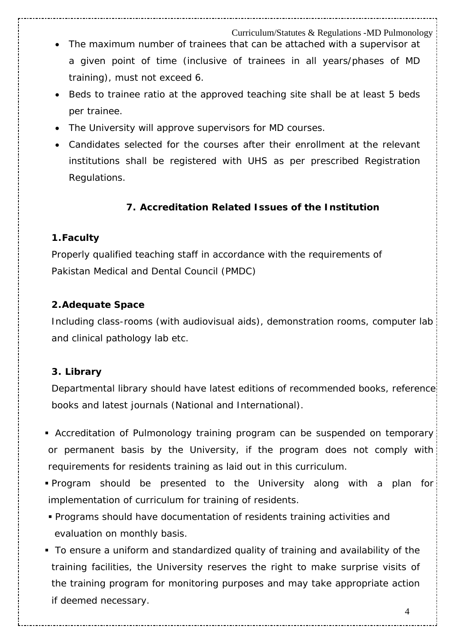- The maximum number of trainees that can be attached with a supervisor at a given point of time (inclusive of trainees in all years/phases of MD training), must not exceed 6.
- Beds to trainee ratio at the approved teaching site shall be at least 5 beds per trainee.
- The University will approve supervisors for MD courses.
- Candidates selected for the courses after their enrollment at the relevant institutions shall be registered with UHS as per prescribed Registration Regulations.

#### **7.** *Accreditation Related Issues of the Institution*

#### **1.Faculty**

Properly qualified teaching staff in accordance with the requirements of Pakistan Medical and Dental Council (PMDC)

#### **2.Adequate Space**

Including class-rooms (with audiovisual aids), demonstration rooms, computer lab and clinical pathology lab etc.

#### **3. Library**

Departmental library should have latest editions of recommended books, reference books and latest journals (National and International).

- Accreditation of Pulmonology training program can be suspended on temporary or permanent basis by the University, if the program does not comply with requirements for residents training as laid out in this curriculum.
- Program should be presented to the University along with a plan for implementation of curriculum for training of residents.
- Programs should have documentation of residents training activities and evaluation on monthly basis.
- To ensure a uniform and standardized quality of training and availability of the training facilities, the University reserves the right to make surprise visits of the training program for monitoring purposes and may take appropriate action if deemed necessary.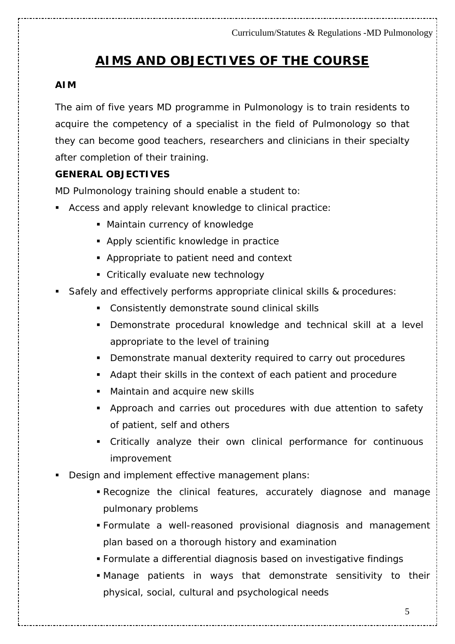# **AIMS AND OBJECTIVES OF THE COURSE**

#### **AIM**

The aim of five years MD programme in Pulmonology is to train residents to acquire the competency of a specialist in the field of Pulmonology so that they can become good teachers, researchers and clinicians in their specialty after completion of their training.

#### **GENERAL OBJECTIVES**

MD Pulmonology training should enable a student to:

- Access and apply relevant knowledge to clinical practice:
	- **Maintain currency of knowledge**
	- **Apply scientific knowledge in practice**
	- Appropriate to patient need and context
	- **Critically evaluate new technology**
- Safely and effectively performs appropriate clinical skills & procedures:
	- Consistently demonstrate sound clinical skills
	- Demonstrate procedural knowledge and technical skill at a level appropriate to the level of training
	- **Demonstrate manual dexterity required to carry out procedures**
	- Adapt their skills in the context of each patient and procedure
	- Maintain and acquire new skills
	- Approach and carries out procedures with due attention to safety of patient, self and others
	- Critically analyze their own clinical performance for continuous improvement
- Design and implement effective management plans:
	- Recognize the clinical features, accurately diagnose and manage pulmonary problems
	- Formulate a well-reasoned provisional diagnosis and management plan based on a thorough history and examination
	- Formulate a differential diagnosis based on investigative findings
	- Manage patients in ways that demonstrate sensitivity to their physical, social, cultural and psychological needs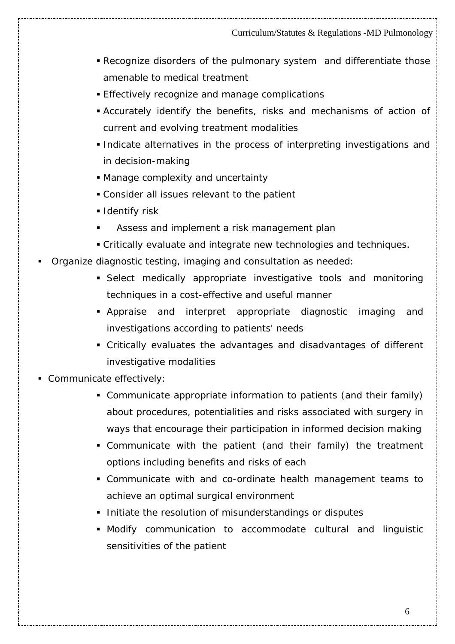- Recognize disorders of the pulmonary system and differentiate those amenable to medical treatment
- **Effectively recognize and manage complications**
- Accurately identify the benefits, risks and mechanisms of action of current and evolving treatment modalities
- Indicate alternatives in the process of interpreting investigations and in decision-making
- Manage complexity and uncertainty
- Consider all issues relevant to the patient
- **I** Identify risk
- Assess and implement a risk management plan
- Critically evaluate and integrate new technologies and techniques.
- Organize diagnostic testing, imaging and consultation as needed:
	- Select medically appropriate investigative tools and monitoring techniques in a cost-effective and useful manner
	- Appraise and interpret appropriate diagnostic imaging and investigations according to patients' needs
	- Critically evaluates the advantages and disadvantages of different investigative modalities
- Communicate effectively:
	- Communicate appropriate information to patients (and their family) about procedures, potentialities and risks associated with surgery in ways that encourage their participation in informed decision making
	- Communicate with the patient (and their family) the treatment options including benefits and risks of each
	- Communicate with and co-ordinate health management teams to achieve an optimal surgical environment
	- **Initiate the resolution of misunderstandings or disputes**
	- Modify communication to accommodate cultural and linguistic sensitivities of the patient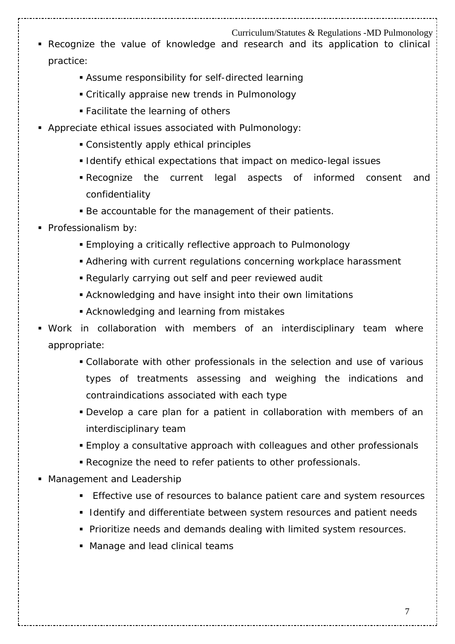- Recognize the value of knowledge and research and its application to clinical practice:
	- Assume responsibility for self-directed learning
	- Critically appraise new trends in Pulmonology
	- Facilitate the learning of others
- Appreciate ethical issues associated with Pulmonology:
	- Consistently apply ethical principles
	- **I** Identify ethical expectations that impact on medico-legal issues
	- Recognize the current legal aspects of informed consent and confidentiality
	- Be accountable for the management of their patients.
- **Professionalism by:** 
	- Employing a critically reflective approach to Pulmonology
	- Adhering with current regulations concerning workplace harassment
	- Regularly carrying out self and peer reviewed audit
	- Acknowledging and have insight into their own limitations
	- Acknowledging and learning from mistakes
- Work in collaboration with members of an interdisciplinary team where appropriate:
	- Collaborate with other professionals in the selection and use of various types of treatments assessing and weighing the indications and contraindications associated with each type
	- Develop a care plan for a patient in collaboration with members of an interdisciplinary team
	- Employ a consultative approach with colleagues and other professionals
	- Recognize the need to refer patients to other professionals.
- **Management and Leadership** 
	- **Effective use of resources to balance patient care and system resources**
	- **I** Identify and differentiate between system resources and patient needs
	- **Prioritize needs and demands dealing with limited system resources.**
	- **Manage and lead clinical teams**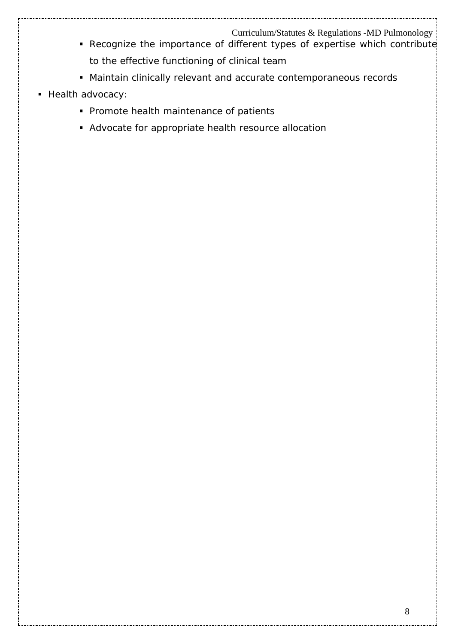- Recognize the importance of different types of expertise which contribute to the effective functioning of clinical team
- Maintain clinically relevant and accurate contemporaneous records
- Health advocacy:
	- **Promote health maintenance of patients**
	- Advocate for appropriate health resource allocation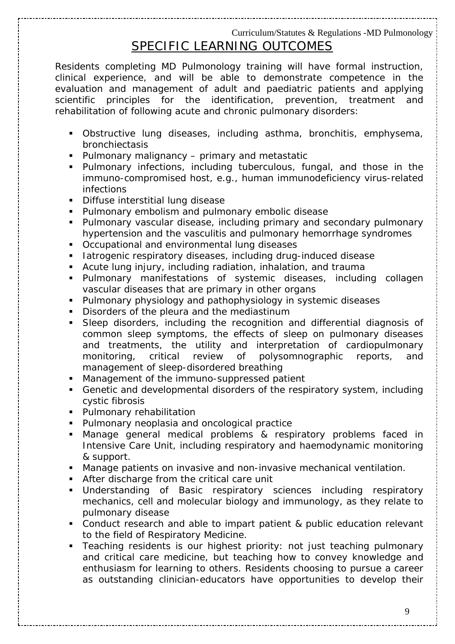# SPECIFIC LEARNING OUTCOMES

Residents completing MD Pulmonology training will have formal instruction, clinical experience, and will be able to demonstrate competence in the evaluation and management of adult and paediatric patients and applying scientific principles for the identification, prevention, treatment and rehabilitation of following acute and chronic pulmonary disorders:

- Obstructive lung diseases, including asthma, bronchitis, emphysema, bronchiectasis
- Pulmonary malignancy primary and metastatic
- Pulmonary infections, including tuberculous, fungal, and those in the immuno-compromised host, e.g., human immunodeficiency virus-related infections
- **Diffuse interstitial lung disease**
- **Pulmonary embolism and pulmonary embolic disease**
- Pulmonary vascular disease, including primary and secondary pulmonary hypertension and the vasculitis and pulmonary hemorrhage syndromes
- Occupational and environmental lung diseases
- **Iatrogenic respiratory diseases, including drug-induced disease**
- Acute lung injury, including radiation, inhalation, and trauma
- Pulmonary manifestations of systemic diseases, including collagen vascular diseases that are primary in other organs
- Pulmonary physiology and pathophysiology in systemic diseases
- Disorders of the pleura and the mediastinum
- Sleep disorders, including the recognition and differential diagnosis of common sleep symptoms, the effects of sleep on pulmonary diseases and treatments, the utility and interpretation of cardiopulmonary monitoring, critical review of polysomnographic reports, and management of sleep-disordered breathing
- Management of the immuno-suppressed patient
- Genetic and developmental disorders of the respiratory system, including cystic fibrosis
- **Pulmonary rehabilitation**
- Pulmonary neoplasia and oncological practice
- Manage general medical problems & respiratory problems faced in Intensive Care Unit, including respiratory and haemodynamic monitoring & support.
- Manage patients on invasive and non-invasive mechanical ventilation.
- After discharge from the critical care unit
- Understanding of Basic respiratory sciences including respiratory mechanics, cell and molecular biology and immunology, as they relate to pulmonary disease
- Conduct research and able to impart patient & public education relevant to the field of Respiratory Medicine.
- **Teaching residents is our highest priority: not just teaching pulmonary** and critical care medicine, but teaching how to convey knowledge and enthusiasm for learning to others. Residents choosing to pursue a career as outstanding clinician-educators have opportunities to develop their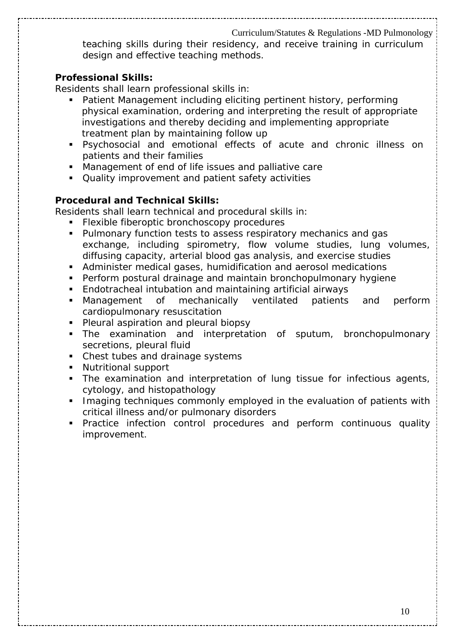teaching skills during their residency, and receive training in curriculum design and effective teaching methods.

#### **Professional Skills:**

Residents shall learn professional skills in:

- Patient Management including eliciting pertinent history, performing physical examination, ordering and interpreting the result of appropriate investigations and thereby deciding and implementing appropriate treatment plan by maintaining follow up
- Psychosocial and emotional effects of acute and chronic illness on patients and their families
- Management of end of life issues and palliative care
- Quality improvement and patient safety activities

#### **Procedural and Technical Skills:**

Residents shall learn technical and procedural skills in:

- **Flexible fiberoptic bronchoscopy procedures**
- **Pulmonary function tests to assess respiratory mechanics and gas** exchange, including spirometry, flow volume studies, lung volumes, diffusing capacity, arterial blood gas analysis, and exercise studies
- Administer medical gases, humidification and aerosol medications
- Perform postural drainage and maintain bronchopulmonary hygiene
- Endotracheal intubation and maintaining artificial airways
- Management of mechanically ventilated patients and perform cardiopulmonary resuscitation
- **Pleural aspiration and pleural biopsy**
- The examination and interpretation of sputum, bronchopulmonary secretions, pleural fluid
- Chest tubes and drainage systems
- **Nutritional support**
- The examination and interpretation of lung tissue for infectious agents, cytology, and histopathology
- **IMaging techniques commonly employed in the evaluation of patients with** critical illness and/or pulmonary disorders
- Practice infection control procedures and perform continuous quality improvement.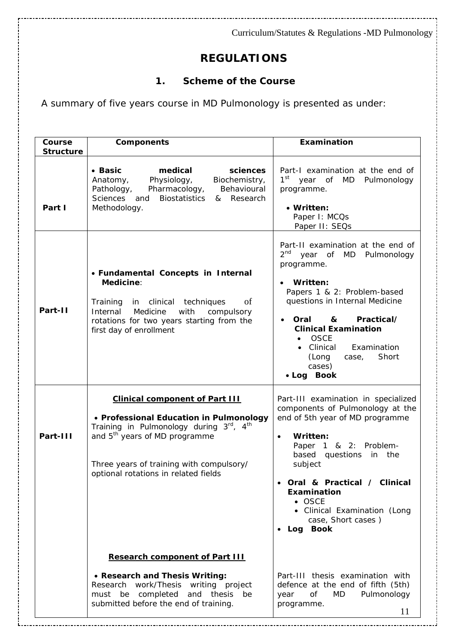# **REGULATIONS**

### *1. Scheme of the Course*

A summary of five years course in MD Pulmonology is presented as under:

| Course<br><b>Structure</b> | <b>Components</b>                                                                                                                                                                                                                                            | Examination                                                                                                                                                                                                                                                                                                                                  |
|----------------------------|--------------------------------------------------------------------------------------------------------------------------------------------------------------------------------------------------------------------------------------------------------------|----------------------------------------------------------------------------------------------------------------------------------------------------------------------------------------------------------------------------------------------------------------------------------------------------------------------------------------------|
| Part I                     | medical<br>• Basic<br>sciences<br>Physiology,<br>Biochemistry,<br>Anatomy,<br>Pharmacology,<br>Behavioural<br>Pathology,<br>Sciences<br>and<br><b>Biostatistics</b><br>Research<br>&<br>Methodology.                                                         | Part-I examination at the end of<br>1 <sup>st</sup> year of MD Pulmonology<br>programme.<br>• Written:<br>Paper I: MCQs<br>Paper II: SEQs                                                                                                                                                                                                    |
| Part-II                    | • Fundamental Concepts in Internal<br>Medicine:<br>Training in clinical techniques<br>of<br>Internal<br>Medicine<br>with<br>compulsory<br>rotations for two years starting from the<br>first day of enrollment                                               | Part-II examination at the end of<br>2 <sup>nd</sup> year of MD Pulmonology<br>programme.<br>Written:<br>Papers 1 & 2: Problem-based<br>questions in Internal Medicine<br>Practical/<br>Oral<br>&<br><b>Clinical Examination</b><br><b>OSCE</b><br>$\bullet$<br>• Clinical<br>Examination<br>Short<br>(Long<br>case,<br>cases)<br>• Log Book |
| Part-III                   | <b>Clinical component of Part III</b><br>• Professional Education in Pulmonology<br>Training in Pulmonology during 3rd, 4th<br>and 5 <sup>th</sup> years of MD programme<br>Three years of training with compulsory/<br>optional rotations in related fields | Part-III examination in specialized<br>components of Pulmonology at the<br>end of 5th year of MD programme<br>Written:<br>$\bullet$<br>Paper 1 & 2: Problem-<br>based questions<br>the<br>in<br>subject<br>Oral & Practical / Clinical<br>Examination<br>$\bullet$ OSCE<br>• Clinical Examination (Long<br>case, Short cases)<br>Log Book    |
|                            | <b>Research component of Part III</b><br>• Research and Thesis Writing:<br>Research work/Thesis writing project<br>must be completed<br>and thesis<br>be<br>submitted before the end of training.                                                            | Part-III thesis examination with<br>defence at the end of fifth (5th)<br>of<br>MD<br>Pulmonology<br>year<br>programme.<br>11                                                                                                                                                                                                                 |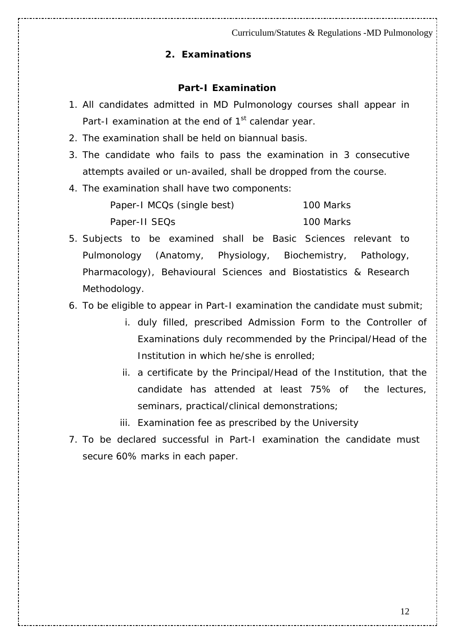#### *2. Examinations*

#### **Part-I Examination**

- 1. All candidates admitted in MD Pulmonology courses shall appear in Part-I examination at the end of 1<sup>st</sup> calendar year.
- 2. The examination shall be held on biannual basis.
- 3. The candidate who fails to pass the examination in 3 consecutive attempts availed or un-availed, shall be dropped from the course.
- 4. The examination shall have two components:

| Paper-I MCQs (single best) | 100 Marks |
|----------------------------|-----------|
| Paper-II SEQs              | 100 Marks |

5. Subjects to be examined shall be Basic Sciences relevant to Pulmonology (Anatomy, Physiology, Biochemistry, Pathology, Pharmacology), Behavioural Sciences and Biostatistics & Research Methodology.

- 6. To be eligible to appear in Part-I examination the candidate must submit;
	- i. duly filled, prescribed Admission Form to the Controller of Examinations duly recommended by the Principal/Head of the Institution in which he/she is enrolled;
	- ii. a certificate by the Principal/Head of the Institution, that the candidate has attended at least 75% of the lectures, seminars, practical/clinical demonstrations;
	- iii. Examination fee as prescribed by the University
- 7. To be declared successful in Part-I examination the candidate must secure 60% marks in each paper.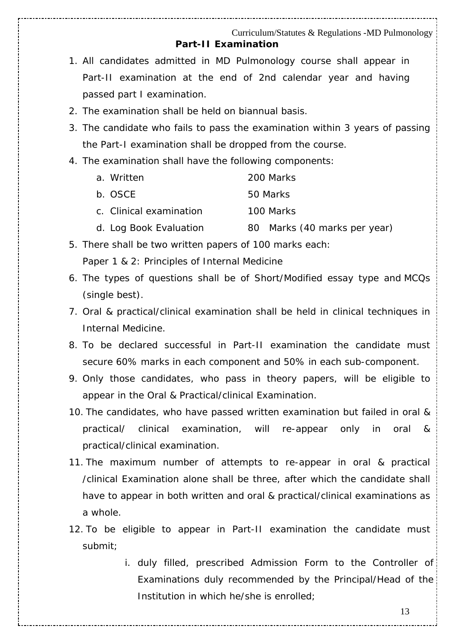#### Curriculum/Statutes & Regulations -MD Pulmonology **Part-II Examination**

- 1. All candidates admitted in MD Pulmonology course shall appear in Part-II examination at the end of 2nd calendar year and having passed part I examination.
- 2. The examination shall be held on biannual basis.
- 3. The candidate who fails to pass the examination within 3 years of passing the Part-I examination shall be dropped from the course.
- 4. The examination shall have the following components:

| a. Written              | 200 Marks |
|-------------------------|-----------|
| b. OSCE                 | 50 Marks  |
| c. Clinical examination | 100 Marks |
|                         |           |

- d. Log Book Evaluation 80 Marks (40 marks per year)
- 5. There shall be two written papers of 100 marks each: Paper 1 & 2: Principles of Internal Medicine
- 6. The types of questions shall be of Short/Modified essay type and MCQs (single best).
- 7. Oral & practical/clinical examination shall be held in clinical techniques in Internal Medicine.
- 8. To be declared successful in Part-II examination the candidate must secure 60% marks in each component and 50% in each sub-component.
- 9. Only those candidates, who pass in theory papers, will be eligible to appear in the Oral & Practical/clinical Examination.
- 10. The candidates, who have passed written examination but failed in oral & practical/ clinical examination, will re-appear only in oral & practical/clinical examination.
- 11. The maximum number of attempts to re-appear in oral & practical /clinical Examination alone shall be three, after which the candidate shall have to appear in both written and oral & practical/clinical examinations as a whole.
- 12. To be eligible to appear in Part-II examination the candidate must submit;
	- i. duly filled, prescribed Admission Form to the Controller of Examinations duly recommended by the Principal/Head of the Institution in which he/she is enrolled;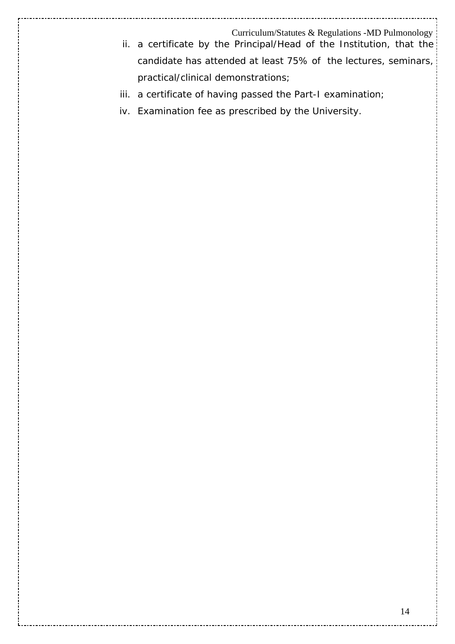- ii. a certificate by the Principal/Head of the Institution, that the candidate has attended at least 75% of the lectures, seminars, practical/clinical demonstrations;
- iii. a certificate of having passed the Part-I examination;
- iv. Examination fee as prescribed by the University.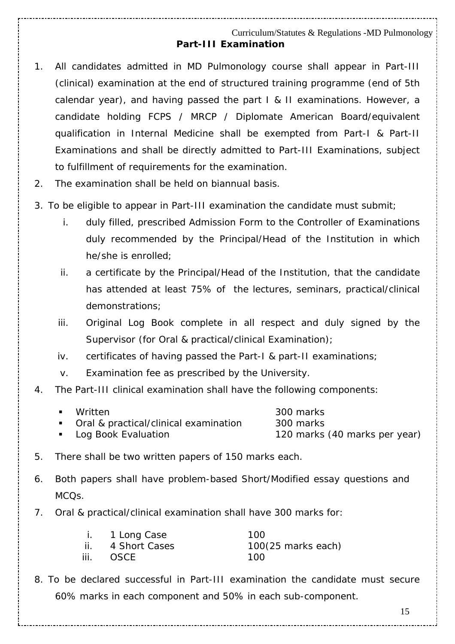#### Curriculum/Statutes & Regulations -MD Pulmonology **Part-III Examination**

- 1. All candidates admitted in MD Pulmonology course shall appear in Part-III (clinical) examination at the end of structured training programme (end of 5th calendar year), and having passed the part I & II examinations. However, a candidate holding FCPS / MRCP / Diplomate American Board/equivalent qualification in Internal Medicine shall be exempted from Part-I & Part-II Examinations and shall be directly admitted to Part-III Examinations, subject to fulfillment of requirements for the examination.
- 2. The examination shall be held on biannual basis.
- 3. To be eligible to appear in Part-III examination the candidate must submit;
	- i. duly filled, prescribed Admission Form to the Controller of Examinations duly recommended by the Principal/Head of the Institution in which he/she is enrolled;
	- ii. a certificate by the Principal/Head of the Institution, that the candidate has attended at least 75% of the lectures, seminars, practical/clinical demonstrations;
	- iii. Original Log Book complete in all respect and duly signed by the Supervisor (for Oral & practical/clinical Examination);
	- iv. certificates of having passed the Part-I & part-II examinations;
	- v. Examination fee as prescribed by the University.
- 4. The Part-III clinical examination shall have the following components:

| ■ Written                               | 300 marks                     |
|-----------------------------------------|-------------------------------|
| • Oral & practical/clinical examination | 300 marks                     |
| • Log Book Evaluation                   | 120 marks (40 marks per year) |

- 5. There shall be two written papers of 150 marks each.
- 6. Both papers shall have problem-based Short/Modified essay questions and MCQs.
- 7. Oral & practical/clinical examination shall have 300 marks for:

|      | i. 1 Long Case    | 100                          |
|------|-------------------|------------------------------|
|      | ii. 4 Short Cases | $100(25 \text{ marks each})$ |
| iii. | OSCE              | 100.                         |

8. To be declared successful in Part-III examination the candidate must secure 60% marks in each component and 50% in each sub-component.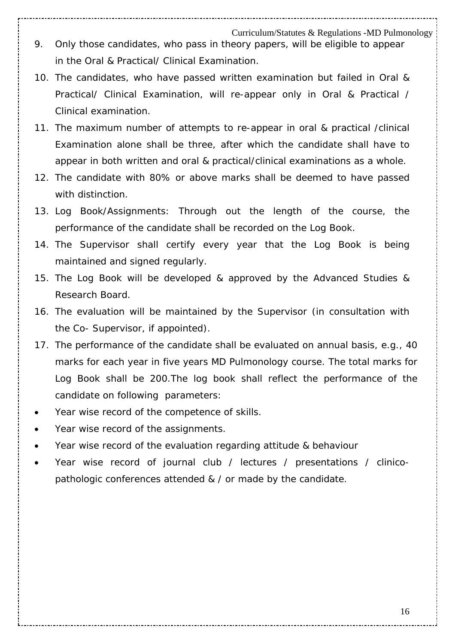- 9. Only those candidates, who pass in theory papers, will be eligible to appear in the Oral & Practical/ Clinical Examination.
- 10. The candidates, who have passed written examination but failed in Oral & Practical/ Clinical Examination, will re-appear only in Oral & Practical / Clinical examination.
- 11. The maximum number of attempts to re-appear in oral & practical /clinical Examination alone shall be three, after which the candidate shall have to appear in both written and oral & practical/clinical examinations as a whole.
- 12. The candidate with 80% or above marks shall be deemed to have passed with distinction.
- *13. Log Book/Assignments:* Through out the length of the course, the performance of the candidate shall be recorded on the Log Book.
- *14.* The Supervisor shall certify every year that the Log Book is being maintained and signed regularly.
- *15.* The Log Book will be developed & approved by the Advanced Studies & Research Board.
- *16.* The evaluation will be maintained by the Supervisor (in consultation with the Co- Supervisor, if appointed).
- 17. The performance of the candidate shall be evaluated on annual basis, e.g., 40 marks for each year in five years MD Pulmonology course. The total marks for Log Book shall be 200.The log book shall reflect the performance of the candidate on following parameters:
- Year wise record of the competence of skills.
- Year wise record of the assignments.
- Year wise record of the evaluation regarding attitude & behaviour
- Year wise record of journal club / lectures / presentations / clinicopathologic conferences attended & / or made by the candidate.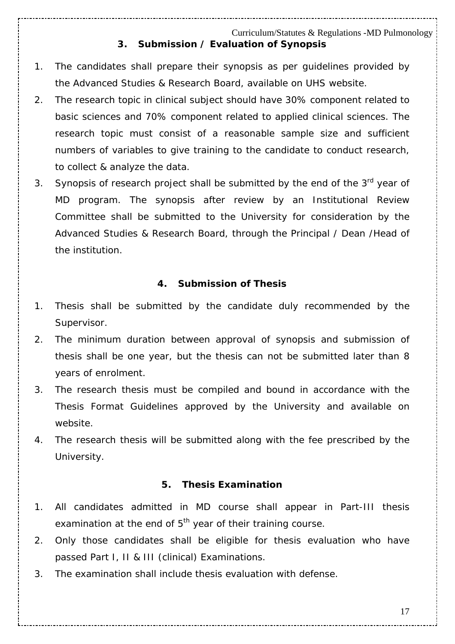#### Curriculum/Statutes & Regulations -MD Pulmonology *3. Submission / Evaluation of Synopsis*

- 1. The candidates shall prepare their synopsis as per guidelines provided by the Advanced Studies & Research Board, available on UHS website.
- 2. The research topic in clinical subject should have 30% component related to basic sciences and 70% component related to applied clinical sciences. The research topic must consist of a reasonable sample size and sufficient numbers of variables to give training to the candidate to conduct research, to collect & analyze the data.
- 3. Synopsis of research project shall be submitted by the end of the 3<sup>rd</sup> year of MD program. The synopsis after review by an Institutional Review Committee shall be submitted to the University for consideration by the Advanced Studies & Research Board, through the Principal / Dean /Head of the institution.

#### **4. Submission of Thesis**

- 1. Thesis shall be submitted by the candidate duly recommended by the Supervisor.
- 2. The minimum duration between approval of synopsis and submission of thesis shall be one year, but the thesis can not be submitted later than 8 years of enrolment.
- 3. The research thesis must be compiled and bound in accordance with the Thesis Format Guidelines approved by the University and available on website.
- 4. The research thesis will be submitted along with the fee prescribed by the University.

#### **5. Thesis Examination**

- 1. All candidates admitted in MD course shall appear in Part-III thesis examination at the end of  $5<sup>th</sup>$  year of their training course.
- 2. Only those candidates shall be eligible for thesis evaluation who have passed Part I, II & III (clinical) Examinations.
- 3. The examination shall include thesis evaluation with defense.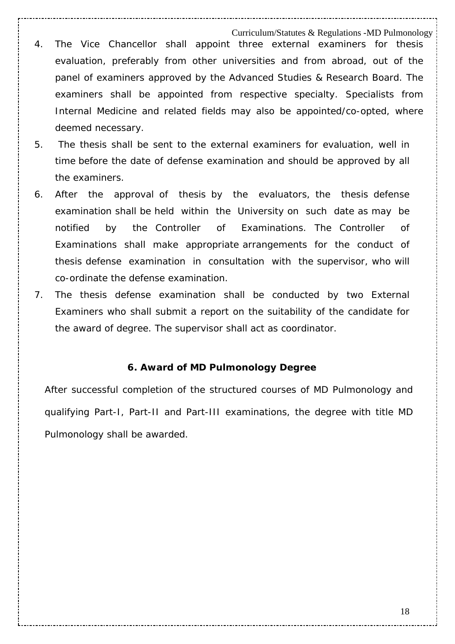- Curriculum/Statutes & Regulations -MD Pulmonology 4. The Vice Chancellor shall appoint three external examiners for thesis evaluation, preferably from other universities and from abroad, out of the panel of examiners approved by the Advanced Studies & Research Board. The examiners shall be appointed from respective specialty. Specialists from Internal Medicine and related fields may also be appointed/co-opted, where deemed necessary.
- 5. The thesis shall be sent to the external examiners for evaluation, well in time before the date of defense examination and should be approved by all the examiners.
- 6. After the approval of thesis by the evaluators, the thesis defense examination shall be held within the University on such date as may be notified by the Controller of Examinations. The Controller of Examinations shall make appropriate arrangements for the conduct of thesis defense examination in consultation with the supervisor, who will co-ordinate the defense examination.
- 7. The thesis defense examination shall be conducted by two External Examiners who shall submit a report on the suitability of the candidate for the award of degree. The supervisor shall act as coordinator.

#### *6. Award of MD Pulmonology Degree*

After successful completion of the structured courses of MD Pulmonology and qualifying Part-I, Part-II and Part-III examinations, the degree with title MD Pulmonology shall be awarded.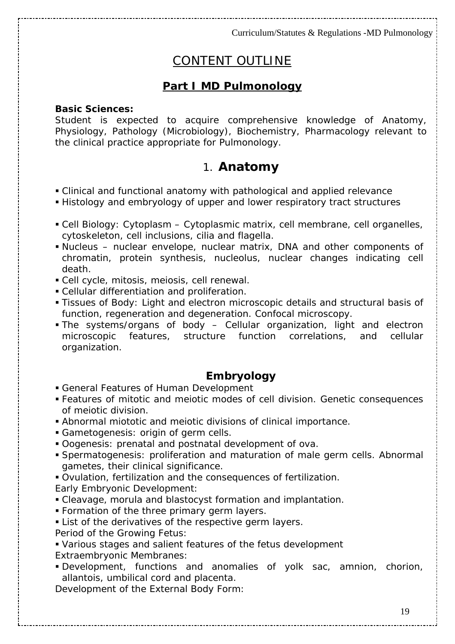# CONTENT OUTLINE

## **Part I MD Pulmonology**

#### **Basic Sciences:**

Student is expected to acquire comprehensive knowledge of Anatomy, Physiology, Pathology (Microbiology), Biochemistry, Pharmacology relevant to the clinical practice appropriate for Pulmonology.

# 1. **Anatomy**

- *Clinical and functional anatomy with pathological and applied relevance*
- *Histology and embryology of upper and lower respiratory tract structures*
- Cell Biology: Cytoplasm Cytoplasmic matrix, cell membrane, cell organelles, cytoskeleton, cell inclusions, cilia and flagella.
- Nucleus nuclear envelope, nuclear matrix, DNA and other components of chromatin, protein synthesis, nucleolus, nuclear changes indicating cell death.
- Cell cycle, mitosis, meiosis, cell renewal.
- Cellular differentiation and proliferation.
- Tissues of Body: Light and electron microscopic details and structural basis of function, regeneration and degeneration. Confocal microscopy.
- The systems/organs of body Cellular organization, light and electron microscopic features, structure function correlations, and cellular organization.

### **Embryology**

- General Features of Human Development
- Features of mitotic and meiotic modes of cell division. Genetic consequences of meiotic division.
- Abnormal miototic and meiotic divisions of clinical importance.
- Gametogenesis: origin of germ cells.
- Oogenesis: prenatal and postnatal development of ova.
- Spermatogenesis: proliferation and maturation of male germ cells. Abnormal gametes, their clinical significance.
- Ovulation, fertilization and the consequences of fertilization.

Early Embryonic Development:

- Cleavage, morula and blastocyst formation and implantation.
- **Formation of the three primary germ layers.**
- **List of the derivatives of the respective germ layers.**
- Period of the Growing Fetus:
- Various stages and salient features of the fetus development
- Extraembryonic Membranes:
- Development, functions and anomalies of yolk sac, amnion, chorion, allantois, umbilical cord and placenta.

Development of the External Body Form: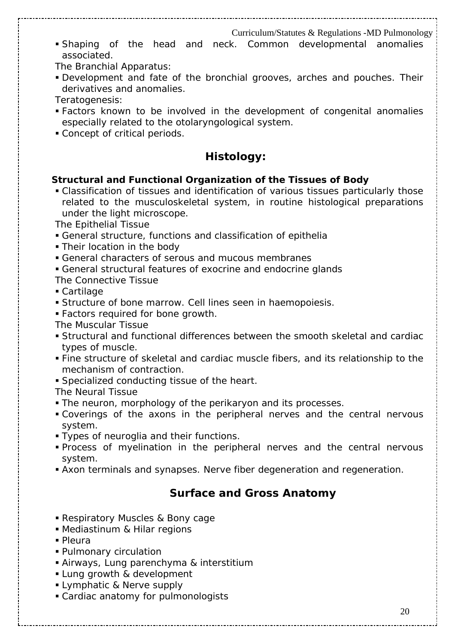Shaping of the head and neck. Common developmental anomalies associated.

The Branchial Apparatus:

 Development and fate of the bronchial grooves, arches and pouches. Their derivatives and anomalies.

Teratogenesis:

- Factors known to be involved in the development of congenital anomalies especially related to the otolaryngological system.
- Concept of critical periods.

## **Histology:**

#### **Structural and Functional Organization of the Tissues of Body**

 Classification of tissues and identification of various tissues particularly those related to the musculoskeletal system, in routine histological preparations under the light microscope.

The Epithelial Tissue

- General structure, functions and classification of epithelia
- **Their location in the body**
- General characters of serous and mucous membranes
- General structural features of exocrine and endocrine glands
- The Connective Tissue
- Cartilage
- Structure of bone marrow. Cell lines seen in haemopoiesis.
- Factors required for bone growth.
- The Muscular Tissue
- Structural and functional differences between the smooth skeletal and cardiac types of muscle.
- Fine structure of skeletal and cardiac muscle fibers, and its relationship to the mechanism of contraction.
- Specialized conducting tissue of the heart.

The Neural Tissue

- The neuron, morphology of the perikaryon and its processes.
- Coverings of the axons in the peripheral nerves and the central nervous system.
- **Types of neuroglia and their functions.**
- Process of myelination in the peripheral nerves and the central nervous system.
- Axon terminals and synapses. Nerve fiber degeneration and regeneration.

# **Surface and Gross Anatomy**

- Respiratory Muscles & Bony cage
- Mediastinum & Hilar regions
- Pleura
- Pulmonary circulation
- Airways, Lung parenchyma & interstitium
- **Lung growth & development**
- **Lymphatic & Nerve supply**
- Cardiac anatomy for pulmonologists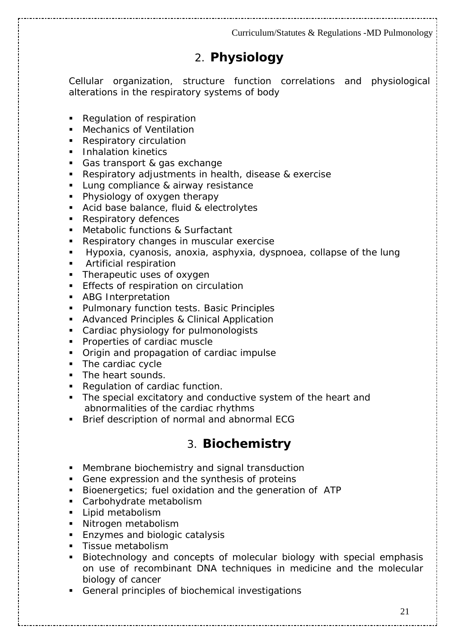# 2. **Physiology**

Cellular organization, structure function correlations and physiological alterations in the respiratory systems of body

- Regulation of respiration
- **Mechanics of Ventilation**
- Respiratory circulation
- **Inhalation kinetics**
- Gas transport & gas exchange
- Respiratory adjustments in health, disease & exercise
- **Lung compliance & airway resistance**
- Physiology of oxygen therapy
- Acid base balance, fluid & electrolytes
- **Respiratory defences**
- **Metabolic functions & Surfactant**
- Respiratory changes in muscular exercise
- Hypoxia, cyanosis, anoxia, asphyxia, dyspnoea, collapse of the lung
- **Artificial respiration**
- Therapeutic uses of oxygen
- Effects of respiration on circulation
- **ABG Interpretation**
- **Pulmonary function tests. Basic Principles**
- **Advanced Principles & Clinical Application**
- **Cardiac physiology for pulmonologists**
- Properties of cardiac muscle
- **Origin and propagation of cardiac impulse**
- The cardiac cycle
- The heart sounds.
- Regulation of cardiac function.
- The special excitatory and conductive system of the heart and abnormalities of the cardiac rhythms
- **Brief description of normal and abnormal ECG**

# 3. **Biochemistry**

- Membrane biochemistry and signal transduction
- Gene expression and the synthesis of proteins
- Bioenergetics; fuel oxidation and the generation of ATP
- Carbohydrate metabolism
- **Lipid metabolism**
- **Nitrogen metabolism**
- **Enzymes and biologic catalysis**
- **Tissue metabolism**
- Biotechnology and concepts of molecular biology with special emphasis on use of recombinant DNA techniques in medicine and the molecular biology of cancer
- General principles of biochemical investigations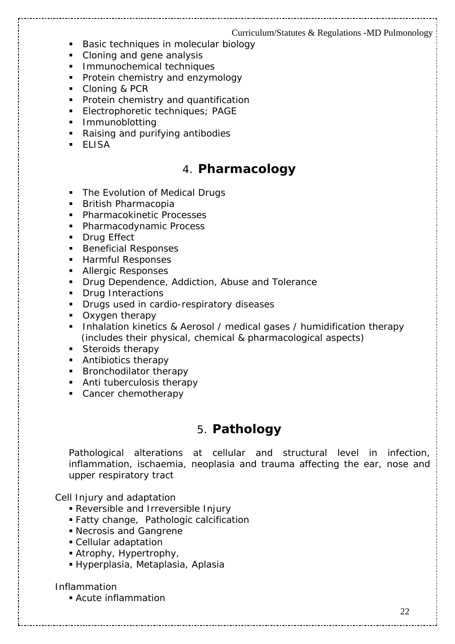- **Basic techniques in molecular biology**
- Cloning and gene analysis
- **Immunochemical techniques**
- Protein chemistry and enzymology
- Cloning & PCR
- **Protein chemistry and quantification**
- **Electrophoretic techniques; PAGE**
- **Immunoblotting**
- Raising and purifying antibodies
- ELISA

# 4. **Pharmacology**

- The Evolution of Medical Drugs
- **British Pharmacopia**
- **Pharmacokinetic Processes**
- **Pharmacodynamic Process**
- **Drug Effect**
- **Beneficial Responses**
- **Harmful Responses**
- **Allergic Responses**
- **Drug Dependence, Addiction, Abuse and Tolerance**
- **Drug Interactions**
- **Drugs used in cardio-respiratory diseases**
- Oxygen therapy
- **Inhalation kinetics & Aerosol / medical gases / humidification therapy** (includes their physical, chemical & pharmacological aspects)
- Steroids therapy
- **Antibiotics therapy**
- **Bronchodilator therapy**
- Anti tuberculosis therapy
- Cancer chemotherapy

# 5. **Pathology**

Pathological alterations at cellular and structural level in infection, inflammation, ischaemia, neoplasia and trauma affecting the ear, nose and upper respiratory tract

#### Cell Injury and adaptation

- Reversible and Irreversible Injury
- Fatty change, Pathologic calcification
- Necrosis and Gangrene
- Cellular adaptation
- Atrophy, Hypertrophy,
- Hyperplasia, Metaplasia, Aplasia

#### Inflammation

Acute inflammation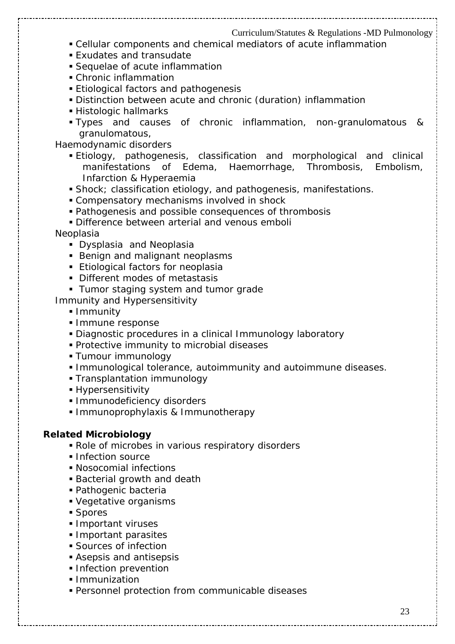- Cellular components and chemical mediators of acute inflammation
- Exudates and transudate
- Sequelae of acute inflammation
- Chronic inflammation
- **Etiological factors and pathogenesis**
- Distinction between acute and chronic (duration) inflammation
- Histologic hallmarks
- Types and causes of chronic inflammation, non-granulomatous & granulomatous,

Haemodynamic disorders

- Etiology, pathogenesis, classification and morphological and clinical manifestations of Edema, Haemorrhage, Thrombosis, Embolism, Infarction & Hyperaemia
- Shock; classification etiology, and pathogenesis, manifestations.
- Compensatory mechanisms involved in shock
- Pathogenesis and possible consequences of thrombosis
- Difference between arterial and venous emboli

Neoplasia

- **Dysplasia and Neoplasia**
- Benign and malignant neoplasms
- **Etiological factors for neoplasia**
- Different modes of metastasis
- **Tumor staging system and tumor grade**

Immunity and Hypersensitivity

- **Immunity**
- **Immune response**
- Diagnostic procedures in a clinical Immunology laboratory
- **Protective immunity to microbial diseases**
- **Tumour immunology**
- Immunological tolerance, autoimmunity and autoimmune diseases.
- Transplantation immunology
- **Hypersensitivity**
- **Immunodeficiency disorders**
- **Immunoprophylaxis & Immunotherapy**

#### **Related Microbiology**

- Role of microbes in various respiratory disorders
- **Infection source**
- Nosocomial infections
- Bacterial growth and death
- Pathogenic bacteria
- Vegetative organisms
- **Spores**
- **Important viruses**
- **Important parasites**
- Sources of infection
- Asepsis and antisepsis
- **Infection prevention**
- **Immunization**
- Personnel protection from communicable diseases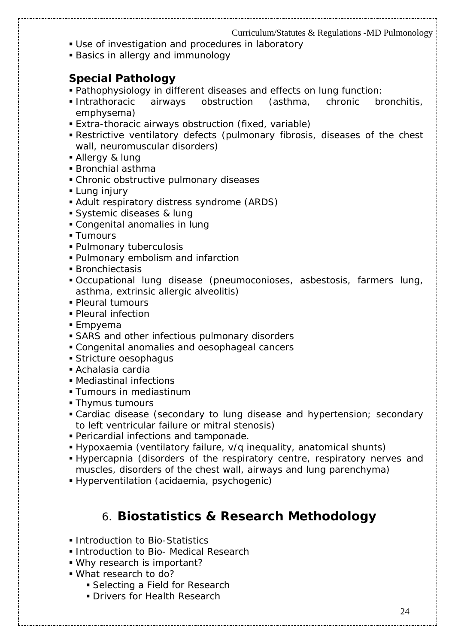- Use of investigation and procedures in laboratory
- Basics in allergy and immunology

## **Special Pathology**

- Pathophysiology in different diseases and effects on lung function:
- Intrathoracic airways obstruction (asthma, chronic bronchitis, emphysema)
- Extra-thoracic airways obstruction (fixed, variable)
- Restrictive ventilatory defects (pulmonary fibrosis, diseases of the chest wall, neuromuscular disorders)
- Allergy & lung
- Bronchial asthma
- Chronic obstructive pulmonary diseases
- **Lung injury**
- Adult respiratory distress syndrome (ARDS)
- Systemic diseases & lung
- Congenital anomalies in lung
- **Tumours**
- Pulmonary tuberculosis
- Pulmonary embolism and infarction
- Bronchiectasis
- Occupational lung disease (pneumoconioses, asbestosis, farmers lung, asthma, extrinsic allergic alveolitis)
- Pleural tumours
- Pleural infection
- Empyema
- SARS and other infectious pulmonary disorders
- Congenital anomalies and oesophageal cancers
- Stricture oesophagus
- Achalasia cardia
- Mediastinal infections
- **Tumours in mediastinum**
- **Thymus tumours**
- Cardiac disease (secondary to lung disease and hypertension; secondary to left ventricular failure or mitral stenosis)
- Pericardial infections and tamponade.
- Hypoxaemia (ventilatory failure, v/q inequality, anatomical shunts)
- Hypercapnia (disorders of the respiratory centre, respiratory nerves and muscles, disorders of the chest wall, airways and lung parenchyma)
- Hyperventilation (acidaemia, psychogenic)

# 6. **Biostatistics & Research Methodology**

- **Introduction to Bio-Statistics**
- **Introduction to Bio- Medical Research**
- Why research is important?
- What research to do?
	- **Selecting a Field for Research**
	- **Drivers for Health Research**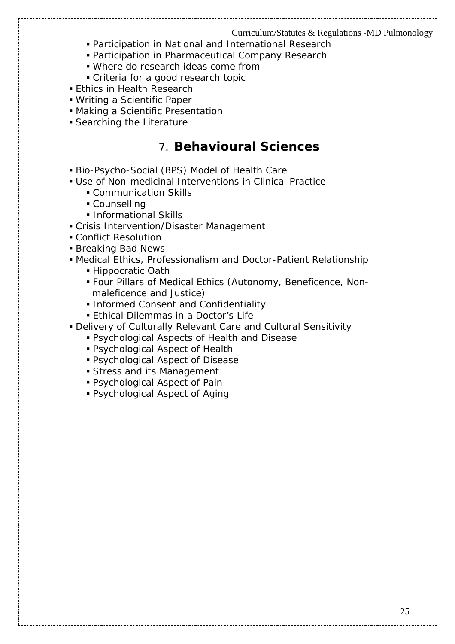- Participation in National and International Research
- Participation in Pharmaceutical Company Research
- Where do research ideas come from
- Criteria for a good research topic
- **Ethics in Health Research**
- Writing a Scientific Paper
- Making a Scientific Presentation
- Searching the Literature

# 7. **Behavioural Sciences**

- Bio-Psycho-Social (BPS) Model of Health Care
- Use of Non-medicinal Interventions in Clinical Practice
	- **Communication Skills**
	- Counselling
	- **Informational Skills**
- Crisis Intervention/Disaster Management
- Conflict Resolution
- **Breaking Bad News**
- Medical Ethics, Professionalism and Doctor-Patient Relationship
	- Hippocratic Oath
	- Four Pillars of Medical Ethics (Autonomy, Beneficence, Non maleficence and Justice)
	- **Informed Consent and Confidentiality**
	- **Ethical Dilemmas in a Doctor's Life**
- Delivery of Culturally Relevant Care and Cultural Sensitivity
	- Psychological Aspects of Health and Disease
	- Psychological Aspect of Health
	- Psychological Aspect of Disease
	- Stress and its Management
	- Psychological Aspect of Pain
	- Psychological Aspect of Aging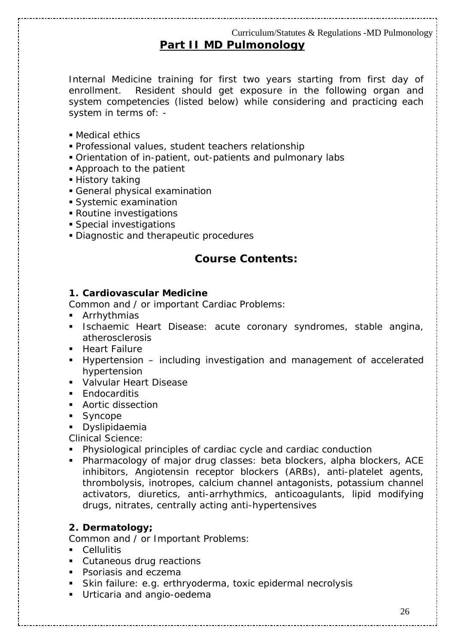# **Part II MD Pulmonology**

Internal Medicine training for first two years starting from first day of enrollment. Resident should get exposure in the following organ and system competencies (listed below) while considering and practicing each system in terms of: -

- Medical ethics
- Professional values, student teachers relationship
- Orientation of in-patient, out-patients and pulmonary labs
- **Approach to the patient**
- History taking
- General physical examination
- Systemic examination
- Routine investigations
- Special investigations
- Diagnostic and therapeutic procedures

## **Course Contents:**

#### **1. Cardiovascular Medicine**

*Common and / or important Cardiac Problems:* 

- **EXALLE**
- **Ischaemic Heart Disease: acute coronary syndromes, stable angina,** atherosclerosis
- **Heart Failure**
- Hypertension including investigation and management of accelerated hypertension
- **Valvular Heart Disease**
- **Endocarditis**
- **Aortic dissection**
- **Syncope**
- **•** Dyslipidaemia

*Clinical Science:* 

- Physiological principles of cardiac cycle and cardiac conduction
- Pharmacology of major drug classes: beta blockers, alpha blockers, ACE inhibitors, Angiotensin receptor blockers (ARBs), anti-platelet agents, thrombolysis, inotropes, calcium channel antagonists, potassium channel activators, diuretics, anti-arrhythmics, anticoagulants, lipid modifying drugs, nitrates, centrally acting anti-hypertensives

#### **2. Dermatology;**

*Common and / or Important Problems:* 

- **Cellulitis**
- **Cutaneous drug reactions**
- **Psoriasis and eczema**
- Skin failure: e.g. erthryoderma, toxic epidermal necrolysis
- **Urticaria and angio-oedema**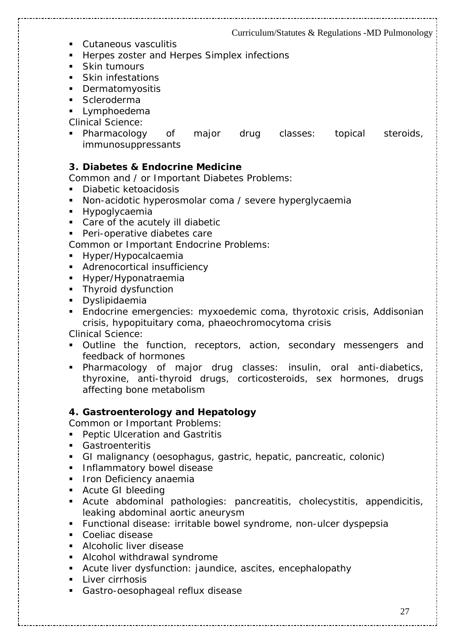- **Cutaneous vasculitis**
- **Herpes zoster and Herpes Simplex infections**
- **Skin tumours**
- Skin infestations
- **•** Dermatomyositis
- **Scleroderma**
- **Lymphoedema**

*Clinical Science:* 

 Pharmacology of major drug classes: topical steroids, immunosuppressants

#### **3. Diabetes & Endocrine Medicine**

*Common and / or Important Diabetes Problems:* 

- **Diabetic ketoacidosis**
- Non-acidotic hyperosmolar coma / severe hyperglycaemia
- **Hypoglycaemia**
- Care of the acutely ill diabetic
- **Peri-operative diabetes care**

*Common or Important Endocrine Problems:* 

- **Hyper/Hypocalcaemia**
- **Adrenocortical insufficiency**
- **Hyper/Hyponatraemia**
- **Thyroid dysfunction**
- **•** Dyslipidaemia
- Endocrine emergencies: myxoedemic coma, thyrotoxic crisis, Addisonian crisis, hypopituitary coma, phaeochromocytoma crisis

*Clinical Science:* 

- Outline the function, receptors, action, secondary messengers and feedback of hormones
- Pharmacology of major drug classes: insulin, oral anti-diabetics, thyroxine, anti-thyroid drugs, corticosteroids, sex hormones, drugs affecting bone metabolism

#### **4. Gastroenterology and Hepatology**

*Common or Important Problems:* 

- **Peptic Ulceration and Gastritis**
- Gastroenteritis
- GI malignancy (oesophagus, gastric, hepatic, pancreatic, colonic)
- **Inflammatory bowel disease**
- **Iron Deficiency anaemia**
- Acute GI bleeding
- Acute abdominal pathologies: pancreatitis, cholecystitis, appendicitis, leaking abdominal aortic aneurysm
- Functional disease: irritable bowel syndrome, non-ulcer dyspepsia
- Coeliac disease
- **Alcoholic liver disease**
- **Alcohol withdrawal syndrome**
- Acute liver dysfunction: jaundice, ascites, encephalopathy
- **Liver cirrhosis**
- Gastro-oesophageal reflux disease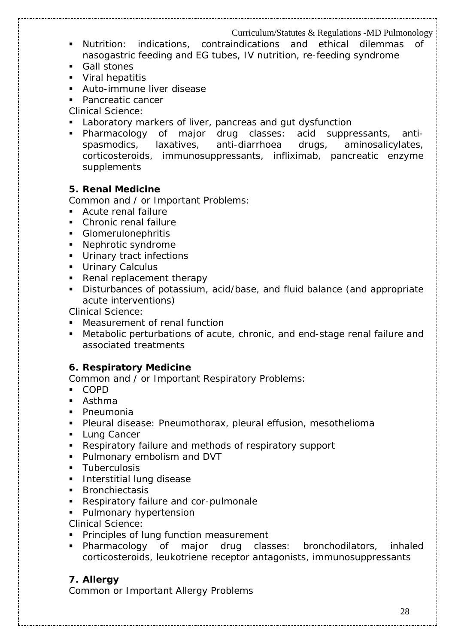- Nutrition: indications, contraindications and ethical dilemmas of nasogastric feeding and EG tubes, IV nutrition, re-feeding syndrome
- Gall stones
- **Viral hepatitis**
- **Auto-immune liver disease**
- Pancreatic cancer

*Clinical Science:* 

- **Laboratory markers of liver, pancreas and gut dysfunction**
- Pharmacology of major drug classes: acid suppressants, antispasmodics, laxatives, anti-diarrhoea drugs, aminosalicylates, corticosteroids, immunosuppressants, infliximab, pancreatic enzyme supplements

#### **5. Renal Medicine**

*Common and / or Important Problems:* 

- **Acute renal failure**
- Chronic renal failure
- **Glomerulonephritis**
- Nephrotic syndrome
- **Urinary tract infections**
- **Urinary Calculus**
- Renal replacement therapy
- Disturbances of potassium, acid/base, and fluid balance (and appropriate acute interventions)

*Clinical Science:* 

- **Measurement of renal function**
- Metabolic perturbations of acute, chronic, and end-stage renal failure and associated treatments

#### **6. Respiratory Medicine**

*Common and / or Important Respiratory Problems:* 

- COPD
- **Asthma**
- **Pneumonia**
- Pleural disease: Pneumothorax, pleural effusion, mesothelioma
- **Lung Cancer**
- Respiratory failure and methods of respiratory support
- **Pulmonary embolism and DVT**
- **Tuberculosis**
- **Interstitial lung disease**
- **Bronchiectasis**
- **Respiratory failure and cor-pulmonale**
- **Pulmonary hypertension**

*Clinical Science:* 

- **Principles of lung function measurement**
- Pharmacology of major drug classes: bronchodilators, inhaled corticosteroids, leukotriene receptor antagonists, immunosuppressants

### **7. Allergy**

*Common or Important Allergy Problems*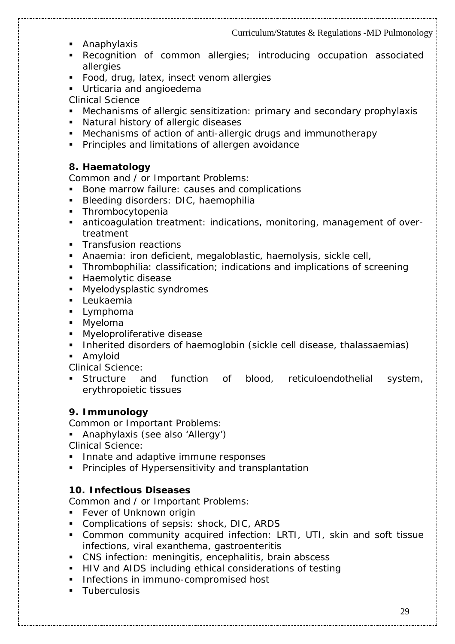- **Anaphylaxis**
- Recognition of common allergies; introducing occupation associated allergies
- **Food, drug, latex, insect venom allergies**
- **Urticaria and angioedema**

*Clinical Science* 

- Mechanisms of allergic sensitization: primary and secondary prophylaxis
- **Natural history of allergic diseases**
- Mechanisms of action of anti-allergic drugs and immunotherapy
- **Principles and limitations of allergen avoidance**

#### **8. Haematology**

*Common and / or Important Problems:* 

- Bone marrow failure: causes and complications
- Bleeding disorders: DIC, haemophilia
- **Thrombocytopenia**
- anticoagulation treatment: indications, monitoring, management of overtreatment
- **Transfusion reactions**
- Anaemia: iron deficient, megaloblastic, haemolysis, sickle cell,
- **Thrombophilia: classification; indications and implications of screening**
- **Haemolytic disease**
- **Myelodysplastic syndromes**
- **Leukaemia**
- **Lymphoma**
- **Myeloma**
- **Myeloproliferative disease**
- **Inherited disorders of haemoglobin (sickle cell disease, thalassaemias)**
- **Amyloid**

*Clinical Science:* 

 Structure and function of blood, reticuloendothelial system, erythropoietic tissues

### **9. Immunology**

*Common or Important Problems:* 

Anaphylaxis (see also 'Allergy')

*Clinical Science:* 

- Innate and adaptive immune responses
- Principles of Hypersensitivity and transplantation

### **10. Infectious Diseases**

*Common and / or Important Problems:* 

- **Fever of Unknown origin**
- Complications of sepsis: shock, DIC, ARDS
- Common community acquired infection: LRTI, UTI, skin and soft tissue infections, viral exanthema, gastroenteritis
- CNS infection: meningitis, encephalitis, brain abscess
- HIV and AIDS including ethical considerations of testing
- **Infections in immuno-compromised host**
- **Tuberculosis**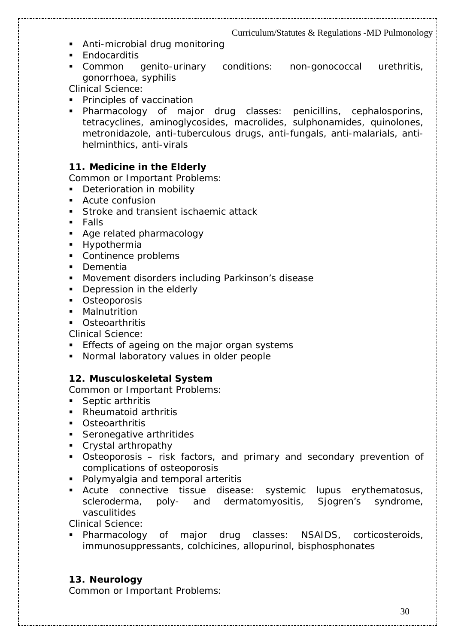- **Anti-microbial drug monitoring**
- **Endocarditis**
- Common genito-urinary conditions: non-gonococcal urethritis, gonorrhoea, syphilis

*Clinical Science:* 

- **Principles of vaccination**
- Pharmacology of major drug classes: penicillins, cephalosporins, tetracyclines, aminoglycosides, macrolides, sulphonamides, quinolones, metronidazole, anti-tuberculous drugs, anti-fungals, anti-malarials, antihelminthics, anti-virals

#### **11. Medicine in the Elderly**

*Common or Important Problems:* 

- **Deterioration in mobility**
- **Acute confusion**
- **Stroke and transient ischaemic attack**
- $Fals$
- **Age related pharmacology**
- **Hypothermia**
- Continence problems
- **Dementia**
- **Movement disorders including Parkinson's disease**
- Depression in the elderly
- **C** Osteoporosis
- Malnutrition
- **Osteoarthritis**

*Clinical Science:* 

- **Effects of ageing on the major organ systems**
- Normal laboratory values in older people

#### **12. Musculoskeletal System**

*Common or Important Problems:* 

- Septic arthritis
- Rheumatoid arthritis
- Osteoarthritis
- Seronegative arthritides
- Crystal arthropathy
- Osteoporosis risk factors, and primary and secondary prevention of complications of osteoporosis
- **Polymyalgia and temporal arteritis**
- Acute connective tissue disease: systemic lupus erythematosus, scleroderma, poly- and dermatomyositis, Sjogren's syndrome, vasculitides

*Clinical Science:* 

 Pharmacology of major drug classes: NSAIDS, corticosteroids, immunosuppressants, colchicines, allopurinol, bisphosphonates

## **13. Neurology**

*Common or Important Problems:*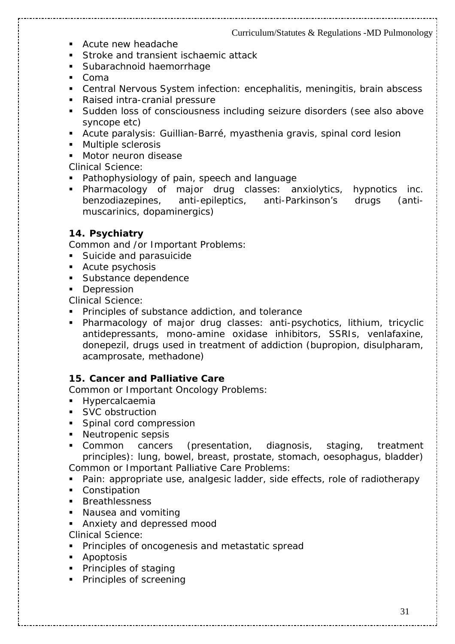- Acute new headache
- **Stroke and transient ischaemic attack**
- **Subarachnoid haemorrhage**
- Coma
- Central Nervous System infection: encephalitis, meningitis, brain abscess
- Raised intra-cranial pressure
- Sudden loss of consciousness including seizure disorders (see also above syncope etc)
- Acute paralysis: Guillian-Barré, myasthenia gravis, spinal cord lesion
- **Multiple sclerosis**
- **Motor neuron disease**

*Clinical Science:* 

- Pathophysiology of pain, speech and language
- Pharmacology of major drug classes: anxiolytics, hypnotics inc. benzodiazepines, anti-epileptics, anti-Parkinson's drugs (antimuscarinics, dopaminergics)

#### **14. Psychiatry**

*Common and /or Important Problems:* 

- **Suicide and parasuicide**
- Acute psychosis
- **Substance dependence**
- **Depression**

*Clinical Science:* 

- **Principles of substance addiction, and tolerance**
- Pharmacology of major drug classes: anti-psychotics, lithium, tricyclic antidepressants, mono-amine oxidase inhibitors, SSRIs, venlafaxine, donepezil, drugs used in treatment of addiction (bupropion, disulpharam, acamprosate, methadone)

#### **15. Cancer and Palliative Care**

*Common or Important Oncology Problems:* 

- **Hypercalcaemia**
- SVC obstruction
- Spinal cord compression
- Neutropenic sepsis
- Common cancers (presentation, diagnosis, staging, treatment principles): lung, bowel, breast, prostate, stomach, oesophagus, bladder) *Common or Important Palliative Care Problems:*
- Pain: appropriate use, analgesic ladder, side effects, role of radiotherapy
- Constipation
- **Breathlessness**
- **Nausea and vomiting**
- Anxiety and depressed mood
- Clinical Science:
- **Principles of oncogenesis and metastatic spread**
- **Apoptosis**
- **Principles of staging**
- **Principles of screening**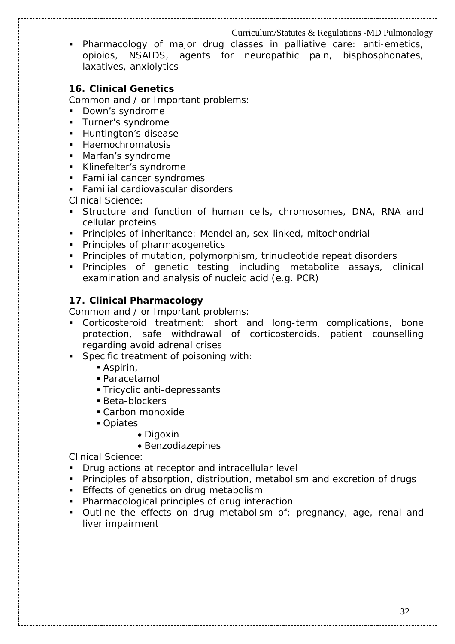Pharmacology of major drug classes in palliative care: anti-emetics, opioids, NSAIDS, agents for neuropathic pain, bisphosphonates, laxatives, anxiolytics

#### **16. Clinical Genetics**

*Common and / or Important problems:* 

- Down's syndrome
- Turner's syndrome
- **Huntington's disease**
- **Haemochromatosis**
- Marfan's syndrome
- Klinefelter's syndrome
- **Familial cancer syndromes**
- Familial cardiovascular disorders

*Clinical Science:* 

- Structure and function of human cells, chromosomes, DNA, RNA and cellular proteins
- Principles of inheritance: Mendelian, sex-linked, mitochondrial
- **Principles of pharmacogenetics**
- **Principles of mutation, polymorphism, trinucleotide repeat disorders**
- Principles of genetic testing including metabolite assays, clinical examination and analysis of nucleic acid (e.g. PCR)

#### **17. Clinical Pharmacology**

*Common and / or Important problems:* 

- Corticosteroid treatment: short and long-term complications, bone protection, safe withdrawal of corticosteroids, patient counselling regarding avoid adrenal crises
- **Specific treatment of poisoning with:** 
	- Aspirin,
	- Paracetamol
	- Tricyclic anti-depressants
	- Beta-blockers
	- Carbon monoxide
	- Opiates
		- Digoxin
		- Benzodiazepines

*Clinical Science:* 

- **Drug actions at receptor and intracellular level**
- Principles of absorption, distribution, metabolism and excretion of drugs
- **Effects of genetics on drug metabolism**
- **Pharmacological principles of drug interaction**
- Outline the effects on drug metabolism of: pregnancy, age, renal and liver impairment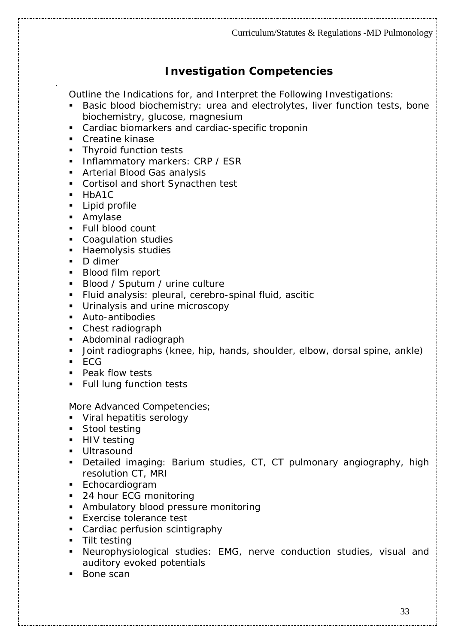## **Investigation Competencies**

*Outline the Indications for, and Interpret the Following Investigations:* 

- Basic blood biochemistry: urea and electrolytes, liver function tests, bone biochemistry, glucose, magnesium
- Cardiac biomarkers and cardiac-specific troponin
- Creatine kinase
- **Thyroid function tests**
- **Inflammatory markers: CRP / ESR**
- **Arterial Blood Gas analysis**
- Cortisol and short Synacthen test
- **HbA1C**

.

- **Lipid profile**
- **Amylase**
- **Full blood count**
- **Coagulation studies**
- **Haemolysis studies**
- D dimer
- **Blood film report**
- Blood / Sputum / urine culture
- Fluid analysis: pleural, cerebro-spinal fluid, ascitic
- **Urinalysis and urine microscopy**
- Auto-antibodies
- Chest radiograph
- Abdominal radiograph
- Joint radiographs (knee, hip, hands, shoulder, elbow, dorsal spine, ankle)
- $\overline{ECG}$
- **Peak flow tests**
- **Full lung function tests**

#### *More Advanced Competencies;*

- **Viral hepatitis serology**
- **Stool testing**
- **HIV** testing
- **Ultrasound**
- Detailed imaging: Barium studies, CT, CT pulmonary angiography, high resolution CT, MRI
- **Echocardiogram**
- 24 hour ECG monitoring
- **Ambulatory blood pressure monitoring**
- **Exercise tolerance test**
- **Cardiac perfusion scintigraphy**
- **Tilt testing**
- Neurophysiological studies: EMG, nerve conduction studies, visual and auditory evoked potentials
- Bone scan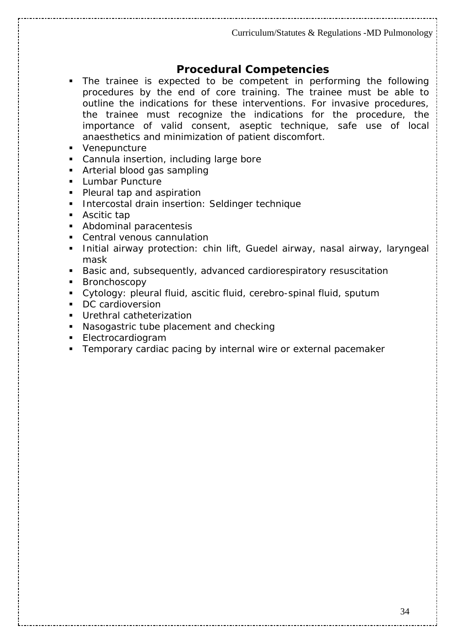## **Procedural Competencies**

- The trainee is expected to be competent in performing the following procedures by the end of core training. The trainee must be able to outline the indications for these interventions. For invasive procedures, the trainee must recognize the indications for the procedure, the importance of valid consent, aseptic technique, safe use of local anaesthetics and minimization of patient discomfort.
- Venepuncture
- Cannula insertion, including large bore
- Arterial blood gas sampling
- **Lumbar Puncture**
- Pleural tap and aspiration
- **Intercostal drain insertion: Seldinger technique**
- Ascitic tap
- **Abdominal paracentesis**
- Central venous cannulation
- **Initial airway protection: chin lift, Guedel airway, nasal airway, laryngeal** mask
- Basic and, subsequently, advanced cardiorespiratory resuscitation
- **Bronchoscopy**
- Cytology: pleural fluid, ascitic fluid, cerebro-spinal fluid, sputum
- DC cardioversion
- Urethral catheterization
- Nasogastric tube placement and checking
- Electrocardiogram
- **Temporary cardiac pacing by internal wire or external pacemaker**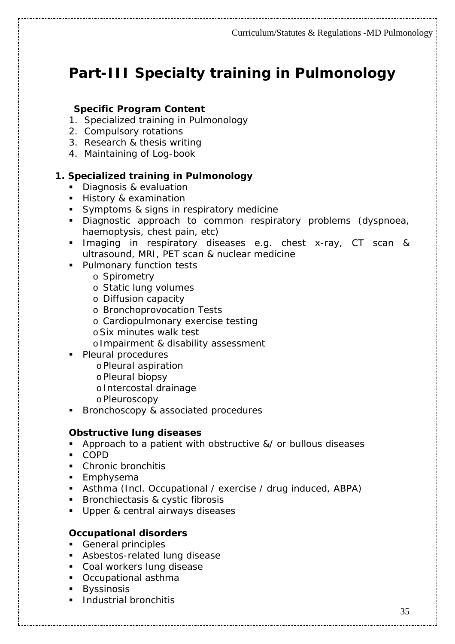# **Part-III Specialty training in Pulmonology**

#### **Specific Program Content**

- 1. Specialized training in Pulmonology
- 2. Compulsory rotations
- 3. Research & thesis writing
- 4. Maintaining of Log-book

#### **1. Specialized training in Pulmonology**

- Diagnosis & evaluation
- **History & examination**
- Symptoms & signs in respiratory medicine
- Diagnostic approach to common respiratory problems (dyspnoea, haemoptysis, chest pain, etc)
- **Imaging in respiratory diseases e.g. chest x-ray, CT scan &** ultrasound, MRI, PET scan & nuclear medicine
- **Pulmonary function tests** 
	- o Spirometry
	- o Static lung volumes
	- o Diffusion capacity
	- o Bronchoprovocation Tests
	- o Cardiopulmonary exercise testing
	- oSix minutes walk test
	- oImpairment & disability assessment
- Pleural procedures
	- oPleural aspiration
	- oPleural biopsy
	- oIntercostal drainage
	- oPleuroscopy
- Bronchoscopy & associated procedures

#### **Obstructive lung diseases**

- **Approach to a patient with obstructive &/ or bullous diseases**
- COPD
- **Chronic bronchitis**
- **Emphysema**
- Asthma (Incl. Occupational / exercise / drug induced, ABPA)
- **Bronchiectasis & cystic fibrosis**
- Upper & central airways diseases

#### **Occupational disorders**

- General principles
- **Asbestos-related lung disease**
- **Coal workers lung disease**
- Occupational asthma
- **Byssinosis**
- **Industrial bronchitis**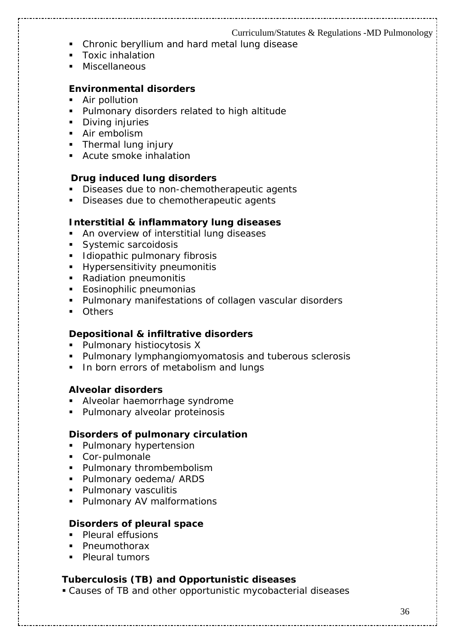- Chronic beryllium and hard metal lung disease
- **Toxic inhalation**
- Miscellaneous

#### **Environmental disorders**

- **Air pollution**
- **Pulmonary disorders related to high altitude**
- **Diving injuries**
- **Air embolism**
- Thermal lung injury
- **Acute smoke inhalation**

#### **Drug induced lung disorders**

- Diseases due to non-chemotherapeutic agents
- Diseases due to chemotherapeutic agents

#### **Interstitial & inflammatory lung diseases**

- **An overview of interstitial lung diseases**
- Systemic sarcoidosis
- Idiopathic pulmonary fibrosis
- **Hypersensitivity pneumonitis**
- Radiation pneumonitis
- **Eosinophilic pneumonias**
- Pulmonary manifestations of collagen vascular disorders
- **Others**

#### **Depositional & infiltrative disorders**

- **Pulmonary histiocytosis X**
- **Pulmonary lymphangiomyomatosis and tuberous sclerosis**
- In born errors of metabolism and lungs

#### **Alveolar disorders**

- **Alveolar haemorrhage syndrome**
- **Pulmonary alveolar proteinosis**

#### **Disorders of pulmonary circulation**

- **Pulmonary hypertension**
- Cor-pulmonale
- **Pulmonary thrombembolism**
- **Pulmonary oedema/ ARDS**
- **Pulmonary vasculitis**
- **Pulmonary AV malformations**

#### **Disorders of pleural space**

- **Pleural effusions**
- Pneumothorax
- **Pleural tumors**

#### **Tuberculosis (TB) and Opportunistic diseases**

Causes of TB and other opportunistic mycobacterial diseases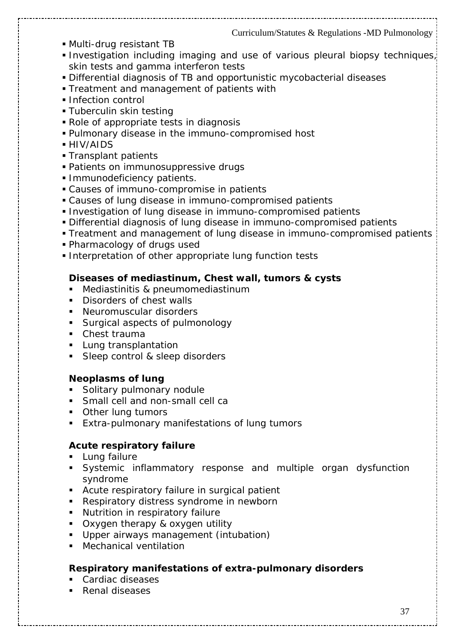- Multi-drug resistant TB
- Investigation including imaging and use of various pleural biopsy techniques, skin tests and gamma interferon tests
- Differential diagnosis of TB and opportunistic mycobacterial diseases
- **Treatment and management of patients with**
- **Infection control**
- **Tuberculin skin testing**
- Role of appropriate tests in diagnosis
- Pulmonary disease in the immuno-compromised host
- HIV/AIDS
- Transplant patients
- Patients on immunosuppressive drugs
- **Immunodeficiency patients.**
- Causes of immuno-compromise in patients
- Causes of lung disease in immuno-compromised patients
- **Investigation of lung disease in immuno-compromised patients**
- Differential diagnosis of lung disease in immuno-compromised patients
- Treatment and management of lung disease in immuno-compromised patients
- Pharmacology of drugs used
- **Interpretation of other appropriate lung function tests**

#### **Diseases of mediastinum, Chest wall, tumors & cysts**

- Mediastinitis & pneumomediastinum
- Disorders of chest walls
- Neuromuscular disorders
- **Surgical aspects of pulmonology**
- Chest trauma
- **Lung transplantation**
- Sleep control & sleep disorders

#### **Neoplasms of lung**

- **Solitary pulmonary nodule**
- **Small cell and non-small cell called**
- **Other lung tumors**
- **Extra-pulmonary manifestations of lung tumors**

#### **Acute respiratory failure**

- **Lung failure**
- Systemic inflammatory response and multiple organ dysfunction syndrome
- Acute respiratory failure in surgical patient
- Respiratory distress syndrome in newborn
- **Nutrition in respiratory failure**
- **Oxygen therapy & oxygen utility**
- Upper airways management (intubation)
- **Mechanical ventilation**

#### **Respiratory manifestations of extra-pulmonary disorders**

- Cardiac diseases
- Renal diseases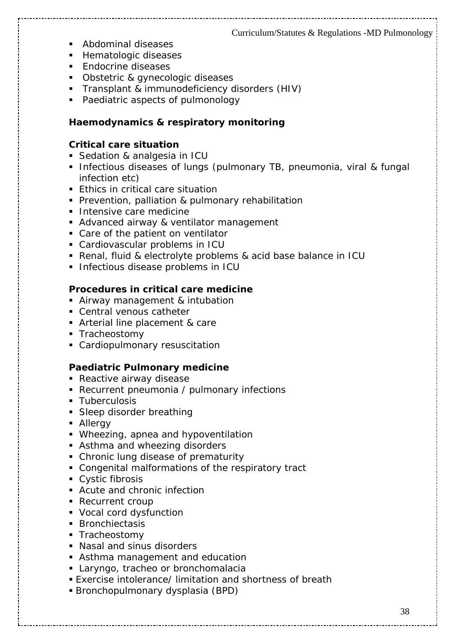- **Abdominal diseases**
- **Hematologic diseases**
- **Endocrine diseases**
- **Diangle 3** Diangleric & gynecologic diseases
- **Transplant & immunodeficiency disorders (HIV)**
- Paediatric aspects of pulmonology

#### **Haemodynamics & respiratory monitoring**

#### **Critical care situation**

- Sedation & analgesia in ICU
- **Infectious diseases of lungs (pulmonary TB, pneumonia, viral & fungal** infection etc)
- **Ethics in critical care situation**
- **Prevention, palliation & pulmonary rehabilitation**
- **Intensive care medicine**
- **Advanced airway & ventilator management**
- Care of the patient on ventilator
- Cardiovascular problems in ICU
- Renal, fluid & electrolyte problems & acid base balance in ICU
- **Infectious disease problems in ICU**

#### **Procedures in critical care medicine**

- Airway management & intubation
- Central venous catheter
- **Arterial line placement & care**
- **Tracheostomy**
- Cardiopulmonary resuscitation

#### **Paediatric Pulmonary medicine**

- **Reactive airway disease**
- Recurrent pneumonia / pulmonary infections
- **Tuberculosis**
- **Sleep disorder breathing**
- **Allergy**
- Wheezing, apnea and hypoventilation
- **Asthma and wheezing disorders**
- Chronic lung disease of prematurity
- Congenital malformations of the respiratory tract
- **Cystic fibrosis**
- Acute and chronic infection
- **Recurrent croup**
- Vocal cord dysfunction
- **Bronchiectasis**
- **Tracheostomy**
- Nasal and sinus disorders
- Asthma management and education
- **Laryngo, tracheo or bronchomalacia**
- Exercise intolerance/ limitation and shortness of breath
- Bronchopulmonary dysplasia (BPD)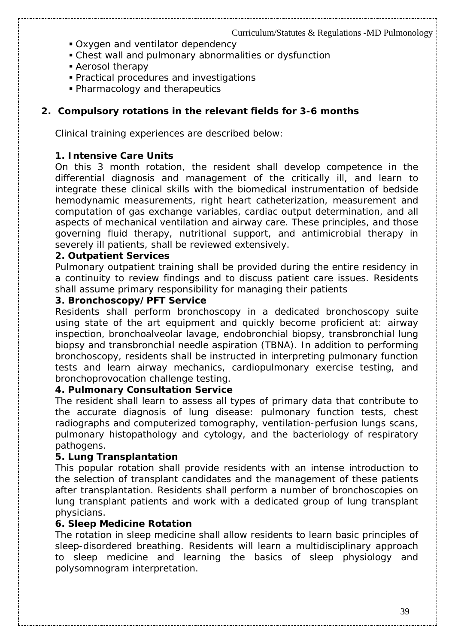- Oxygen and ventilator dependency
- Chest wall and pulmonary abnormalities or dysfunction
- Aerosol therapy
- Practical procedures and investigations
- Pharmacology and therapeutics

#### **2. Compulsory rotations in the relevant fields for 3-6 months**

Clinical training experiences are described below:

#### **1. Intensive Care Units**

On this 3 month rotation, the resident shall develop competence in the differential diagnosis and management of the critically ill, and learn to integrate these clinical skills with the biomedical instrumentation of bedside hemodynamic measurements, right heart catheterization, measurement and computation of gas exchange variables, cardiac output determination, and all aspects of mechanical ventilation and airway care. These principles, and those governing fluid therapy, nutritional support, and antimicrobial therapy in severely ill patients, shall be reviewed extensively.

#### **2. Outpatient Services**

Pulmonary outpatient training shall be provided during the entire residency in a continuity to review findings and to discuss patient care issues. Residents shall assume primary responsibility for managing their patients

#### **3. Bronchoscopy/PFT Service**

Residents shall perform bronchoscopy in a dedicated bronchoscopy suite using state of the art equipment and quickly become proficient at: airway inspection, bronchoalveolar lavage, endobronchial biopsy, transbronchial lung biopsy and transbronchial needle aspiration (TBNA). In addition to performing bronchoscopy, residents shall be instructed in interpreting pulmonary function tests and learn airway mechanics, cardiopulmonary exercise testing, and bronchoprovocation challenge testing.

#### **4. Pulmonary Consultation Service**

The resident shall learn to assess all types of primary data that contribute to the accurate diagnosis of lung disease: pulmonary function tests, chest radiographs and computerized tomography, ventilation-perfusion lungs scans, pulmonary histopathology and cytology, and the bacteriology of respiratory pathogens.

#### **5. Lung Transplantation**

This popular rotation shall provide residents with an intense introduction to the selection of transplant candidates and the management of these patients after transplantation. Residents shall perform a number of bronchoscopies on lung transplant patients and work with a dedicated group of lung transplant physicians.

#### **6. Sleep Medicine Rotation**

The rotation in sleep medicine shall allow residents to learn basic principles of sleep-disordered breathing. Residents will learn a multidisciplinary approach to sleep medicine and learning the basics of sleep physiology and polysomnogram interpretation.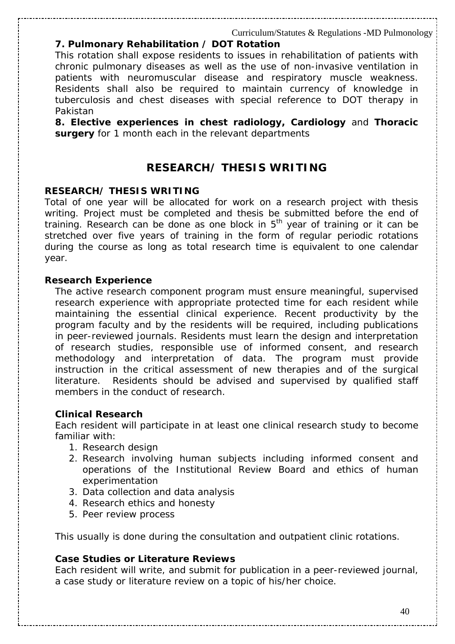#### **7. Pulmonary Rehabilitation / DOT Rotation**

This rotation shall expose residents to issues in rehabilitation of patients with chronic pulmonary diseases as well as the use of non-invasive ventilation in patients with neuromuscular disease and respiratory muscle weakness. Residents shall also be required to maintain currency of knowledge in tuberculosis and chest diseases with special reference to DOT therapy in Pakistan

**8. Elective experiences in chest radiology, Cardiology** and **Thoracic surgery** for 1 month each in the relevant departments

### **RESEARCH/ THESIS WRITING**

#### **RESEARCH/ THESIS WRITING**

Total of one year will be allocated for work on a research project with thesis writing. Project must be completed and thesis be submitted before the end of training. Research can be done as one block in  $5<sup>th</sup>$  year of training or it can be stretched over five years of training in the form of regular periodic rotations during the course as long as total research time is equivalent to one calendar year.

#### **Research Experience**

The active research component program must ensure meaningful, supervised research experience with appropriate protected time for each resident while maintaining the essential clinical experience. Recent productivity by the program faculty and by the residents will be required, including publications in peer-reviewed journals. Residents must learn the design and interpretation of research studies, responsible use of informed consent, and research methodology and interpretation of data. The program must provide instruction in the critical assessment of new therapies and of the surgical literature. Residents should be advised and supervised by qualified staff members in the conduct of research.

#### **Clinical Research**

Each resident will participate in at least one clinical research study to become familiar with:

- 1. Research design
- 2. Research involving human subjects including informed consent and operations of the Institutional Review Board and ethics of human experimentation
- 3. Data collection and data analysis
- 4. Research ethics and honesty
- 5. Peer review process

This usually is done during the consultation and outpatient clinic rotations.

#### **Case Studies or Literature Reviews**

Each resident will write, and submit for publication in a peer-reviewed journal, a case study or literature review on a topic of his/her choice.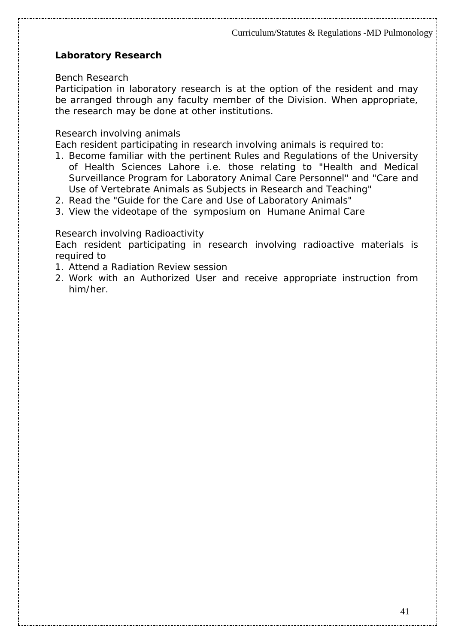#### **Laboratory Research**

#### *Bench Research*

Participation in laboratory research is at the option of the resident and may be arranged through any faculty member of the Division. When appropriate, the research may be done at other institutions.

#### *Research involving animals*

Each resident participating in research involving animals is required to:

- 1. Become familiar with the pertinent Rules and Regulations of the University of Health Sciences Lahore i.e. those relating to "Health and Medical Surveillance Program for Laboratory Animal Care Personnel" and "Care and Use of Vertebrate Animals as Subjects in Research and Teaching"
- 2. Read the "Guide for the Care and Use of Laboratory Animals"
- 3. View the videotape of the symposium on Humane Animal Care

#### *Research involving Radioactivity*

Each resident participating in research involving radioactive materials is required to

- 1. Attend a Radiation Review session
- 2. Work with an Authorized User and receive appropriate instruction from him/her.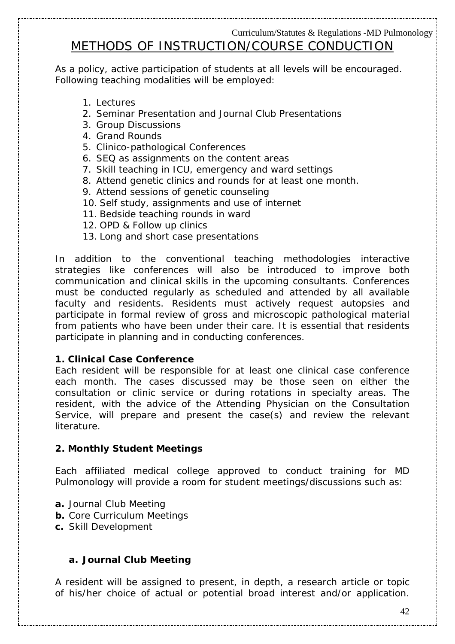# METHODS OF INSTRUCTION/COURSE CONDUCTION

As a policy, active participation of students at all levels will be encouraged. Following teaching modalities will be employed:

- 1. Lectures
- 2. Seminar Presentation and Journal Club Presentations
- 3. Group Discussions
- 4. Grand Rounds
- 5. Clinico-pathological Conferences
- 6. SEQ as assignments on the content areas
- 7. Skill teaching in ICU, emergency and ward settings
- 8. Attend genetic clinics and rounds for at least one month.
- 9. Attend sessions of genetic counseling
- 10. Self study, assignments and use of internet
- 11. Bedside teaching rounds in ward
- 12. OPD & Follow up clinics
- 13. Long and short case presentations

In addition to the conventional teaching methodologies interactive strategies like conferences will also be introduced to improve both communication and clinical skills in the upcoming consultants. Conferences must be conducted regularly as scheduled and attended by all available faculty and residents. Residents must actively request autopsies and participate in formal review of gross and microscopic pathological material from patients who have been under their care. It is essential that residents participate in planning and in conducting conferences.

#### **1. Clinical Case Conference**

Each resident will be responsible for at least one clinical case conference each month. The cases discussed may be those seen on either the consultation or clinic service or during rotations in specialty areas. The resident, with the advice of the Attending Physician on the Consultation Service, will prepare and present the case(s) and review the relevant literature.

#### **2. Monthly Student Meetings**

Each affiliated medical college approved to conduct training for MD Pulmonology will provide a room for student meetings/discussions such as:

- **a.** Journal Club Meeting
- **b.** Core Curriculum Meetings
- **c.** Skill Development

#### *a. Journal Club Meeting*

A resident will be assigned to present, in depth, a research article or topic of his/her choice of actual or potential broad interest and/or application.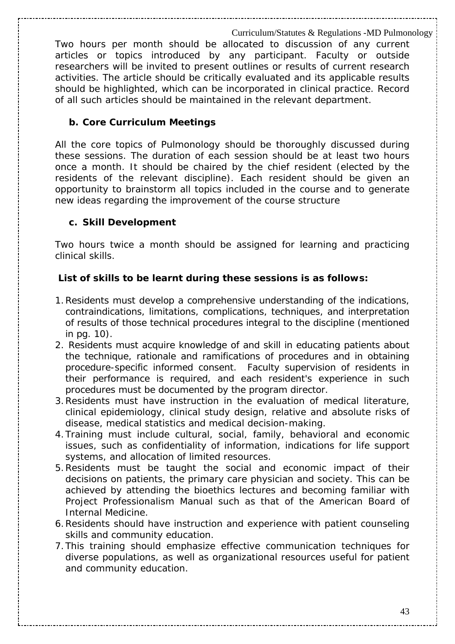Two hours per month should be allocated to discussion of any current articles or topics introduced by any participant. Faculty or outside researchers will be invited to present outlines or results of current research activities. The article should be critically evaluated and its applicable results should be highlighted, which can be incorporated in clinical practice. Record of all such articles should be maintained in the relevant department.

#### *b. Core Curriculum Meetings*

All the core topics of Pulmonology should be thoroughly discussed during these sessions. The duration of each session should be at least two hours once a month. It should be chaired by the chief resident (elected by the residents of the relevant discipline). Each resident should be given an opportunity to brainstorm all topics included in the course and to generate new ideas regarding the improvement of the course structure

#### *c. Skill Development*

Two hours twice a month should be assigned for learning and practicing clinical skills.

#### **List of skills to be learnt during these sessions is as follows:**

- 1.Residents must develop a comprehensive understanding of the indications, contraindications, limitations, complications, techniques, and interpretation of results of those technical procedures integral to the discipline (mentioned in pg. 10).
- 2. Residents must acquire knowledge of and skill in educating patients about the technique, rationale and ramifications of procedures and in obtaining procedure-specific informed consent. Faculty supervision of residents in their performance is required, and each resident's experience in such procedures must be documented by the program director.
- 3.Residents must have instruction in the evaluation of medical literature, clinical epidemiology, clinical study design, relative and absolute risks of disease, medical statistics and medical decision-making.
- 4.Training must include cultural, social, family, behavioral and economic issues, such as confidentiality of information, indications for life support systems, and allocation of limited resources.
- 5.Residents must be taught the social and economic impact of their decisions on patients, the primary care physician and society. This can be achieved by attending the bioethics lectures and becoming familiar with Project Professionalism Manual such as that of the American Board of Internal Medicine.
- 6.Residents should have instruction and experience with patient counseling skills and community education.
- 7.This training should emphasize effective communication techniques for diverse populations, as well as organizational resources useful for patient and community education.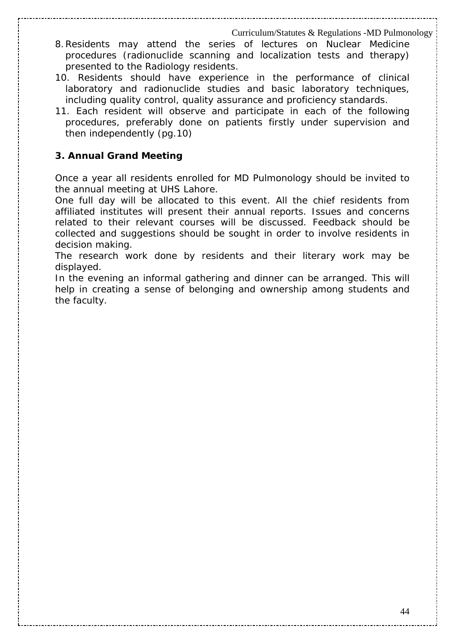- 8.Residents may attend the series of lectures on Nuclear Medicine procedures (radionuclide scanning and localization tests and therapy) presented to the Radiology residents.
- 10. Residents should have experience in the performance of clinical laboratory and radionuclide studies and basic laboratory techniques, including quality control, quality assurance and proficiency standards.
- 11. Each resident will observe and participate in each of the following procedures, preferably done on patients firstly under supervision and then independently (pg.10)

#### **3. Annual Grand Meeting**

Once a year all residents enrolled for MD Pulmonology should be invited to the annual meeting at UHS Lahore.

One full day will be allocated to this event. All the chief residents from affiliated institutes will present their annual reports. Issues and concerns related to their relevant courses will be discussed. Feedback should be collected and suggestions should be sought in order to involve residents in decision making.

The research work done by residents and their literary work may be displayed.

In the evening an informal gathering and dinner can be arranged. This will help in creating a sense of belonging and ownership among students and the faculty.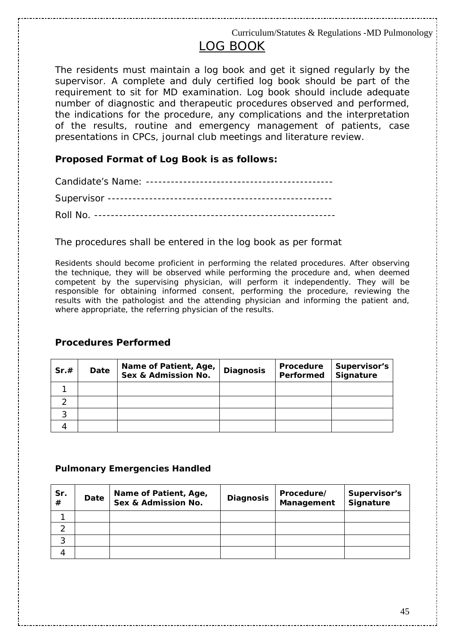# LOG BOOK

The residents must maintain a log book and get it signed regularly by the supervisor. A complete and duly certified log book should be part of the requirement to sit for MD examination. Log book should include adequate number of diagnostic and therapeutic procedures observed and performed, the indications for the procedure, any complications and the interpretation of the results, routine and emergency management of patients, case presentations in CPCs, journal club meetings and literature review.

#### **Proposed Format of Log Book is as follows:**

#### The procedures shall be entered in the log book as per format

Residents should become proficient in performing the related procedures. After observing the technique, they will be observed while performing the procedure and, when deemed competent by the supervising physician, will perform it independently. They will be responsible for obtaining informed consent, performing the procedure, reviewing the results with the pathologist and the attending physician and informing the patient and, where appropriate, the referring physician of the results.

#### **Procedures Performed**

| Sr.# | Date | Name of Patient, Age,<br>Sex & Admission No. | <b>Diagnosis</b> | Procedure<br>Performed | Supervisor's<br><b>Signature</b> |
|------|------|----------------------------------------------|------------------|------------------------|----------------------------------|
|      |      |                                              |                  |                        |                                  |
|      |      |                                              |                  |                        |                                  |
| ົ    |      |                                              |                  |                        |                                  |
|      |      |                                              |                  |                        |                                  |

#### **Pulmonary Emergencies Handled**

| Sr.<br># | Date | Name of Patient, Age,<br>Sex & Admission No. | <b>Diagnosis</b> | Procedure/<br>Management | Supervisor's<br>Signature |
|----------|------|----------------------------------------------|------------------|--------------------------|---------------------------|
|          |      |                                              |                  |                          |                           |
| ⌒        |      |                                              |                  |                          |                           |
| 3        |      |                                              |                  |                          |                           |
|          |      |                                              |                  |                          |                           |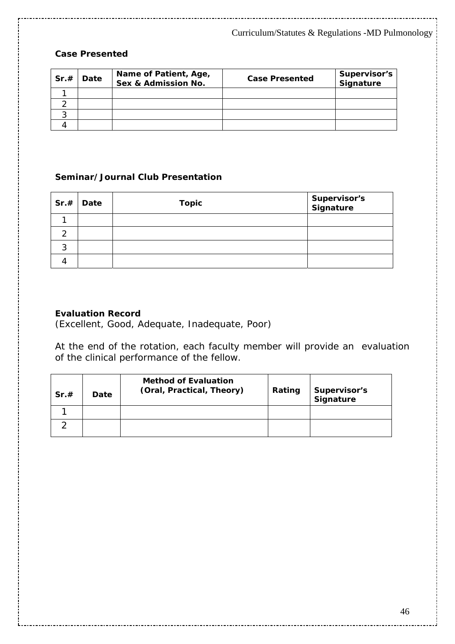#### **Case Presented**

| Sr.# | Date | Name of Patient, Age,<br>Sex & Admission No. | <b>Case Presented</b> | Supervisor's<br>Signature |
|------|------|----------------------------------------------|-----------------------|---------------------------|
|      |      |                                              |                       |                           |
|      |      |                                              |                       |                           |
|      |      |                                              |                       |                           |
|      |      |                                              |                       |                           |

#### **Seminar/Journal Club Presentation**

|   | $Sr.+$ Date | <b>Topic</b> | Supervisor's<br>Signature |
|---|-------------|--------------|---------------------------|
|   |             |              |                           |
| ◠ |             |              |                           |
| ົ |             |              |                           |
|   |             |              |                           |

#### **Evaluation Record**

(Excellent, Good, Adequate, Inadequate, Poor)

At the end of the rotation, each faculty member will provide an evaluation of the clinical performance of the fellow.

| Sr.# | Date | <b>Method of Evaluation</b><br>(Oral, Practical, Theory) | Rating | Supervisor's<br>Signature |
|------|------|----------------------------------------------------------|--------|---------------------------|
|      |      |                                                          |        |                           |
|      |      |                                                          |        |                           |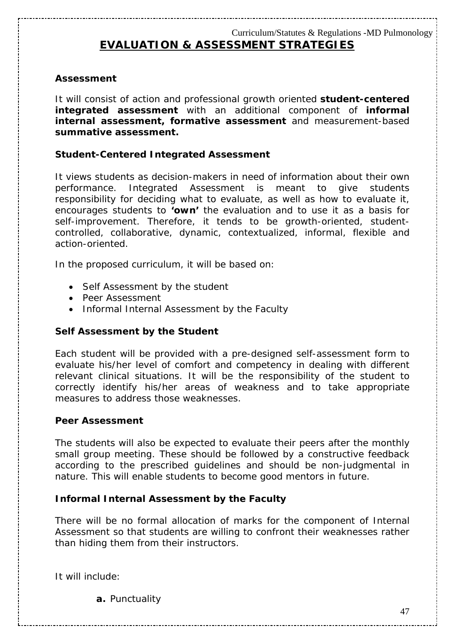#### **Assessment**

It will consist of action and professional growth oriented *student-centered integrated assessment* with an additional component of *informal internal assessment***,** *formative assessment* and measurement-based *summative assessment***.**

#### **Student-Centered Integrated Assessment**

It views students as decision-makers in need of information about their own performance. Integrated Assessment is meant to give students responsibility for deciding what to evaluate, as well as how to evaluate it, encourages students to **'own'** the evaluation and to use it as a basis for self-improvement. Therefore, it tends to be growth-oriented, studentcontrolled, collaborative, dynamic, contextualized, informal, flexible and action-oriented.

In the proposed curriculum, it will be based on:

- Self Assessment by the student
- Peer Assessment
- Informal Internal Assessment by the Faculty

#### *Self Assessment by the Student*

Each student will be provided with a pre-designed self-assessment form to evaluate his/her level of comfort and competency in dealing with different relevant clinical situations. It will be the responsibility of the student to correctly identify his/her areas of weakness and to take appropriate measures to address those weaknesses.

#### *Peer Assessment*

The students will also be expected to evaluate their peers after the monthly small group meeting. These should be followed by a constructive feedback according to the prescribed guidelines and should be non-judgmental in nature. This will enable students to become good mentors in future.

#### *Informal Internal Assessment by the Faculty*

There will be no formal allocation of marks for the component of Internal Assessment so that students are willing to confront their weaknesses rather than hiding them from their instructors.

It will include:

**a.** Punctuality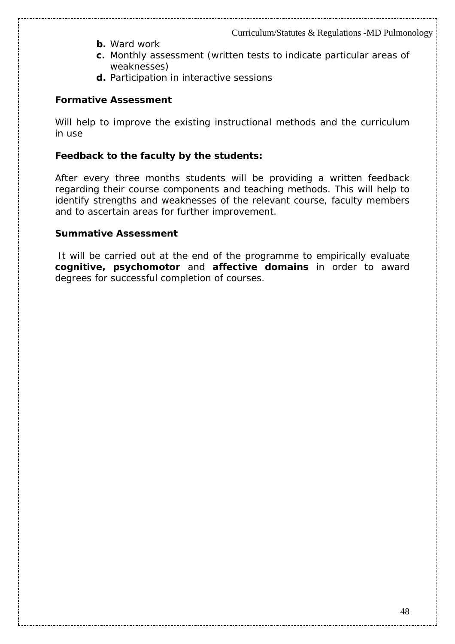- **b.** Ward work
- **c.** Monthly assessment (written tests to indicate particular areas of weaknesses)
- **d.** Participation in interactive sessions

#### **Formative Assessment**

Will help to improve the existing instructional methods and the curriculum in use

#### *Feedback to the faculty by the students:*

After every three months students will be providing a written feedback regarding their course components and teaching methods. This will help to identify strengths and weaknesses of the relevant course, faculty members and to ascertain areas for further improvement.

#### **Summative Assessment**

It will be carried out at the end of the programme to empirically evaluate **cognitive, psychomotor** and **affective domains** in order to award degrees for successful completion of courses.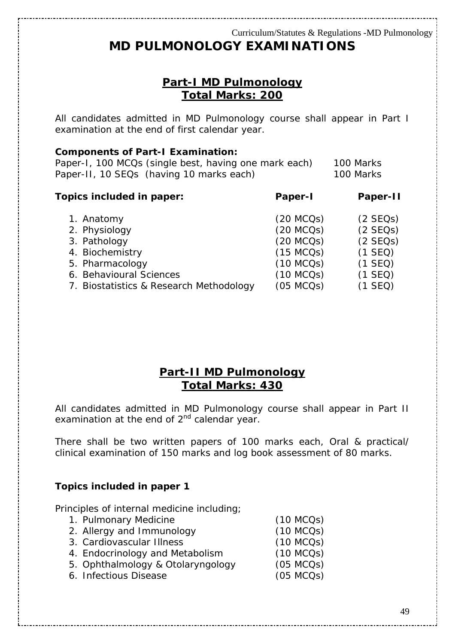# **MD PULMONOLOGY EXAMINATIONS**

## **Part-I MD Pulmonology Total Marks: 200**

All candidates admitted in MD Pulmonology course shall appear in Part I examination at the end of first calendar year.

#### **Components of Part-I Examination:**

Paper-I, 100 MCQs (single best, having one mark each) 100 Marks Paper-II, 10 SEQs (having 10 marks each) 100 Marks

| 1. Anatomy<br>2. Physiology<br>3. Pathology<br>4. Biochemistry<br>5. Pharmacology<br>6. Behavioural Sciences | $(20$ MCQs)<br>(20 MCOs)<br>$(20$ MCQs)<br>(15 MCOs)<br>(10 MCOs)<br>(10 MCOs) | (2 SEOs)<br>$(2$ SEQs)<br>(2 SEOs)<br>$(1$ SEQ)<br>$(1$ SEQ)<br>$(1$ SEQ) |
|--------------------------------------------------------------------------------------------------------------|--------------------------------------------------------------------------------|---------------------------------------------------------------------------|
| 7. Biostatistics & Research Methodology                                                                      | (05 MCOs)                                                                      | $(1$ SEQ)                                                                 |

### **Part-II MD Pulmonology Total Marks: 430**

All candidates admitted in MD Pulmonology course shall appear in Part II examination at the end of  $2^{nd}$  calendar year.

There shall be two written papers of 100 marks each, Oral & practical/ clinical examination of 150 marks and log book assessment of 80 marks.

#### **Topics included in paper 1**

Principles of internal medicine including;

| 1. Pulmonary Medicine             | (10 MCOs) |
|-----------------------------------|-----------|
| 2. Allergy and Immunology         | (10 MCOs) |
| 3. Cardiovascular Illness         | (10 MCOs) |
| 4. Endocrinology and Metabolism   | (10 MCOs) |
| 5. Ophthalmology & Otolaryngology | (05 MCOs) |
| 6. Infectious Disease             | (05 MCOs) |
|                                   |           |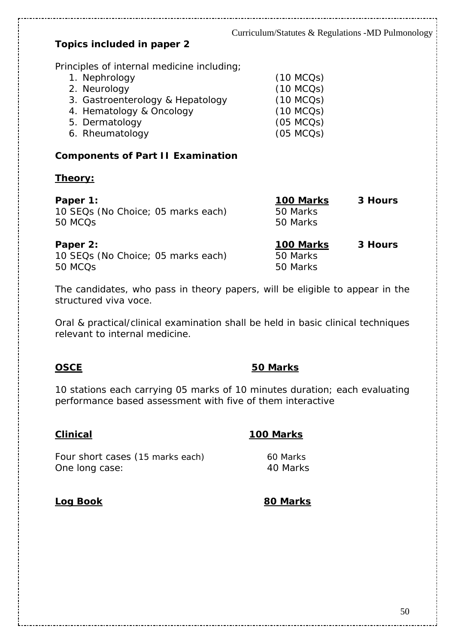## **Topics included in paper 2**

Principles of internal medicine including;

| 1. Nephrology                    | (10 MCOs) |
|----------------------------------|-----------|
| 2. Neurology                     | (10 MCOs) |
| 3. Gastroenterology & Hepatology | (10 MCOs) |
| 4. Hematology & Oncology         | (10 MCOs) |
| 5. Dermatology                   | (05 MCOs) |
| 6. Rheumatology                  | (05 MCOs) |

#### **Components of Part II Examination**

#### **Theory:**

| Paper 1:                           | 100 Marks | 3 Hours |
|------------------------------------|-----------|---------|
| 10 SEQs (No Choice; 05 marks each) | 50 Marks  |         |
| 50 MCQ <sub>S</sub>                | 50 Marks  |         |
| Paper 2:                           | 100 Marks | 3 Hours |
| 10 SEQs (No Choice; 05 marks each) | 50 Marks  |         |
| 50 MCQ <sub>S</sub>                | 50 Marks  |         |

The candidates, who pass in theory papers, will be eligible to appear in the structured viva voce.

Oral & practical/clinical examination shall be held in basic clinical techniques relevant to internal medicine.

#### **OSCE 50 Marks**

10 stations each carrying 05 marks of 10 minutes duration; each evaluating performance based assessment with five of them interactive

#### **Clinical 100 Marks**

Four short cases (15 marks each) 60 Marks One long case: 40 Marks

### **Log Book 80 Marks**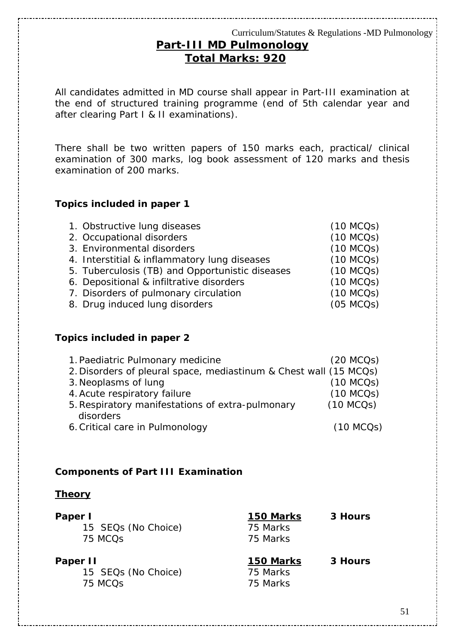# **Part-III MD Pulmonology Total Marks: 920**

All candidates admitted in MD course shall appear in Part-III examination at the end of structured training programme (end of 5th calendar year and after clearing Part I & II examinations).

There shall be two written papers of 150 marks each, practical/ clinical examination of 300 marks, log book assessment of 120 marks and thesis examination of 200 marks.

#### **Topics included in paper 1**

| 1. Obstructive lung diseases                    | (10 MCOs) |
|-------------------------------------------------|-----------|
| 2. Occupational disorders                       | (10 MCOs) |
| 3. Environmental disorders                      | (10 MCOs) |
| 4. Interstitial & inflammatory lung diseases    | (10 MCOs) |
| 5. Tuberculosis (TB) and Opportunistic diseases | (10 MCOs) |
| 6. Depositional & infiltrative disorders        | (10 MCOs) |
| 7. Disorders of pulmonary circulation           | (10 MCOs) |
| 8. Drug induced lung disorders                  | (05 MCOs) |
|                                                 |           |

#### **Topics included in paper 2**

| 1. Paediatric Pulmonary medicine                                  | $(20$ MCQs) |
|-------------------------------------------------------------------|-------------|
| 2. Disorders of pleural space, mediastinum & Chest wall (15 MCQs) |             |
| 3. Neoplasms of lung                                              | (10 MCOs)   |
| 4. Acute respiratory failure                                      | (10 MCOs)   |
| 5. Respiratory manifestations of extra-pulmonary                  | (10 MCOs)   |
| disorders                                                         |             |
| 6. Critical care in Pulmonology                                   | (10 MCOs)   |

#### **Components of Part III Examination**

#### **Theory**

| Paper I<br>15 SEQs (No Choice)<br>75 MCQ <sub>S</sub>  | 150 Marks<br>75 Marks<br>75 Marks | 3 Hours |
|--------------------------------------------------------|-----------------------------------|---------|
| Paper II<br>15 SEQs (No Choice)<br>75 MCQ <sub>S</sub> | 150 Marks<br>75 Marks<br>75 Marks | 3 Hours |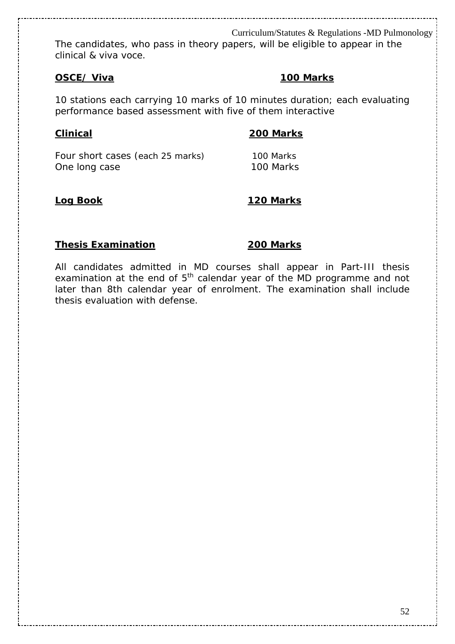The candidates, who pass in theory papers, will be eligible to appear in the clinical & viva voce.

#### **OSCE/ Viva 100 Marks**

10 stations each carrying 10 marks of 10 minutes duration; each evaluating performance based assessment with five of them interactive

#### **Clinical 200 Marks**

Four short cases (each 25 marks) 100 Marks One long case 100 Marks

#### **Log Book 120 Marks**

#### **Thesis Examination** 200 Marks

All candidates admitted in MD courses shall appear in Part-III thesis examination at the end of  $5<sup>th</sup>$  calendar year of the MD programme and not later than 8th calendar year of enrolment. The examination shall include thesis evaluation with defense.